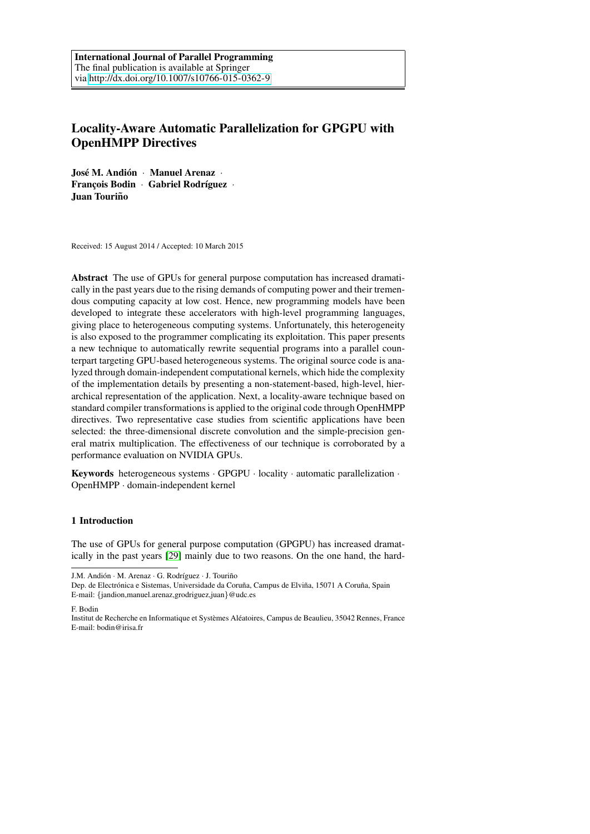International Journal of Parallel Programming The final publication is available at Springer via<http://dx.doi.org/10.1007/s10766-015-0362-9>

# Locality-Aware Automatic Parallelization for GPGPU with OpenHMPP Directives

José M. Andión · Manuel Arenaz · François Bodin · Gabriel Rodríguez · Juan Touriño

Received: 15 August 2014 / Accepted: 10 March 2015

Abstract The use of GPUs for general purpose computation has increased dramatically in the past years due to the rising demands of computing power and their tremendous computing capacity at low cost. Hence, new programming models have been developed to integrate these accelerators with high-level programming languages, giving place to heterogeneous computing systems. Unfortunately, this heterogeneity is also exposed to the programmer complicating its exploitation. This paper presents a new technique to automatically rewrite sequential programs into a parallel counterpart targeting GPU-based heterogeneous systems. The original source code is analyzed through domain-independent computational kernels, which hide the complexity of the implementation details by presenting a non-statement-based, high-level, hierarchical representation of the application. Next, a locality-aware technique based on standard compiler transformations is applied to the original code through OpenHMPP directives. Two representative case studies from scientific applications have been selected: the three-dimensional discrete convolution and the simple-precision general matrix multiplication. The effectiveness of our technique is corroborated by a performance evaluation on NVIDIA GPUs.

Keywords heterogeneous systems · GPGPU · locality · automatic parallelization · OpenHMPP · domain-independent kernel

## 1 Introduction

The use of GPUs for general purpose computation (GPGPU) has increased dramatically in the past years [\[29\]](#page-21-0) mainly due to two reasons. On the one hand, the hard-

J.M. Andión · M. Arenaz · G. Rodríguez · J. Touriño

F. Bodin

Dep. de Electrónica e Sistemas, Universidade da Coruña, Campus de Elviña, 15071 A Coruña, Spain E-mail: {jandion,manuel.arenaz,grodriguez,juan}@udc.es

Institut de Recherche en Informatique et Systèmes Aléatoires, Campus de Beaulieu, 35042 Rennes, France E-mail: bodin@irisa.fr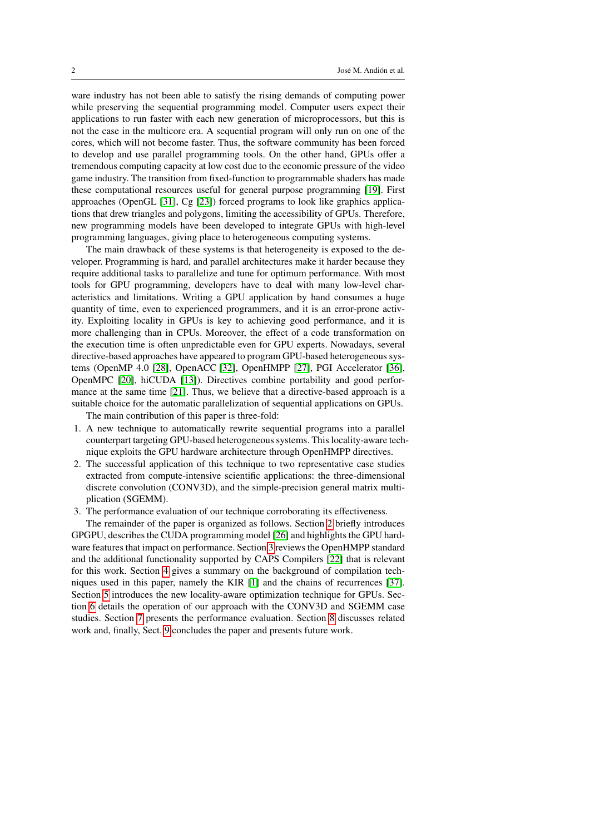ware industry has not been able to satisfy the rising demands of computing power while preserving the sequential programming model. Computer users expect their applications to run faster with each new generation of microprocessors, but this is not the case in the multicore era. A sequential program will only run on one of the cores, which will not become faster. Thus, the software community has been forced to develop and use parallel programming tools. On the other hand, GPUs offer a tremendous computing capacity at low cost due to the economic pressure of the video game industry. The transition from fixed-function to programmable shaders has made these computational resources useful for general purpose programming [\[19\]](#page-21-1). First approaches (OpenGL [\[31\]](#page-21-2), Cg [\[23\]](#page-21-3)) forced programs to look like graphics applications that drew triangles and polygons, limiting the accessibility of GPUs. Therefore, new programming models have been developed to integrate GPUs with high-level programming languages, giving place to heterogeneous computing systems.

The main drawback of these systems is that heterogeneity is exposed to the developer. Programming is hard, and parallel architectures make it harder because they require additional tasks to parallelize and tune for optimum performance. With most tools for GPU programming, developers have to deal with many low-level characteristics and limitations. Writing a GPU application by hand consumes a huge quantity of time, even to experienced programmers, and it is an error-prone activity. Exploiting locality in GPUs is key to achieving good performance, and it is more challenging than in CPUs. Moreover, the effect of a code transformation on the execution time is often unpredictable even for GPU experts. Nowadays, several directive-based approaches have appeared to program GPU-based heterogeneous systems (OpenMP 4.0 [\[28\]](#page-21-4), OpenACC [\[32\]](#page-21-5), OpenHMPP [\[27\]](#page-21-6), PGI Accelerator [\[36\]](#page-21-7), OpenMPC [\[20\]](#page-21-8), hiCUDA [\[13\]](#page-20-0)). Directives combine portability and good performance at the same time [\[21\]](#page-21-9). Thus, we believe that a directive-based approach is a suitable choice for the automatic parallelization of sequential applications on GPUs. The main contribution of this paper is three-fold:

- 1. A new technique to automatically rewrite sequential programs into a parallel counterpart targeting GPU-based heterogeneous systems. This locality-aware technique exploits the GPU hardware architecture through OpenHMPP directives.
- 2. The successful application of this technique to two representative case studies extracted from compute-intensive scientific applications: the three-dimensional discrete convolution (CONV3D), and the simple-precision general matrix multiplication (SGEMM).
- 3. The performance evaluation of our technique corroborating its effectiveness.

The remainder of the paper is organized as follows. Section [2](#page-2-0) briefly introduces GPGPU, describes the CUDA programming model [\[26\]](#page-21-10) and highlights the GPU hardware features that impact on performance. Section [3](#page-3-0) reviews the OpenHMPP standard and the additional functionality supported by CAPS Compilers [\[22\]](#page-21-11) that is relevant for this work. Section [4](#page-4-0) gives a summary on the background of compilation techniques used in this paper, namely the KIR [\[1\]](#page-20-1) and the chains of recurrences [\[37\]](#page-21-12). Section [5](#page-7-0) introduces the new locality-aware optimization technique for GPUs. Section [6](#page-10-0) details the operation of our approach with the CONV3D and SGEMM case studies. Section [7](#page-16-0) presents the performance evaluation. Section [8](#page-17-0) discusses related work and, finally, Sect. [9](#page-19-0) concludes the paper and presents future work.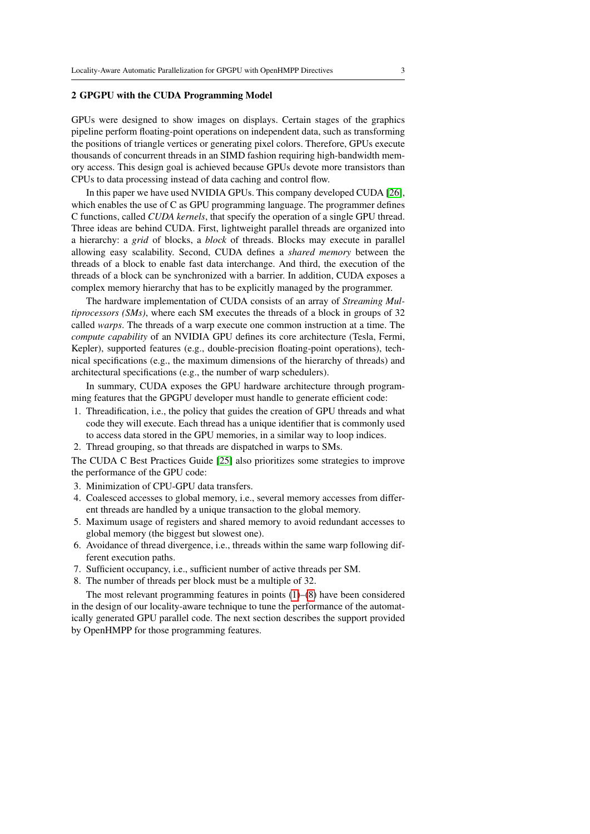### <span id="page-2-0"></span>2 GPGPU with the CUDA Programming Model

GPUs were designed to show images on displays. Certain stages of the graphics pipeline perform floating-point operations on independent data, such as transforming the positions of triangle vertices or generating pixel colors. Therefore, GPUs execute thousands of concurrent threads in an SIMD fashion requiring high-bandwidth memory access. This design goal is achieved because GPUs devote more transistors than CPUs to data processing instead of data caching and control flow.

In this paper we have used NVIDIA GPUs. This company developed CUDA [\[26\]](#page-21-10), which enables the use of C as GPU programming language. The programmer defines C functions, called *CUDA kernels*, that specify the operation of a single GPU thread. Three ideas are behind CUDA. First, lightweight parallel threads are organized into a hierarchy: a *grid* of blocks, a *block* of threads. Blocks may execute in parallel allowing easy scalability. Second, CUDA defines a *shared memory* between the threads of a block to enable fast data interchange. And third, the execution of the threads of a block can be synchronized with a barrier. In addition, CUDA exposes a complex memory hierarchy that has to be explicitly managed by the programmer.

The hardware implementation of CUDA consists of an array of *Streaming Multiprocessors (SMs)*, where each SM executes the threads of a block in groups of 32 called *warps*. The threads of a warp execute one common instruction at a time. The *compute capability* of an NVIDIA GPU defines its core architecture (Tesla, Fermi, Kepler), supported features (e.g., double-precision floating-point operations), technical specifications (e.g., the maximum dimensions of the hierarchy of threads) and architectural specifications (e.g., the number of warp schedulers).

In summary, CUDA exposes the GPU hardware architecture through programming features that the GPGPU developer must handle to generate efficient code:

- <span id="page-2-1"></span>1. Threadification, i.e., the policy that guides the creation of GPU threads and what code they will execute. Each thread has a unique identifier that is commonly used to access data stored in the GPU memories, in a similar way to loop indices.
- <span id="page-2-3"></span>2. Thread grouping, so that threads are dispatched in warps to SMs.

The CUDA C Best Practices Guide [\[25\]](#page-21-13) also prioritizes some strategies to improve the performance of the GPU code:

- <span id="page-2-6"></span>3. Minimization of CPU-GPU data transfers.
- <span id="page-2-4"></span>4. Coalesced accesses to global memory, i.e., several memory accesses from different threads are handled by a unique transaction to the global memory.
- <span id="page-2-5"></span>5. Maximum usage of registers and shared memory to avoid redundant accesses to global memory (the biggest but slowest one).
- <span id="page-2-7"></span>6. Avoidance of thread divergence, i.e., threads within the same warp following different execution paths.
- <span id="page-2-8"></span>7. Sufficient occupancy, i.e., sufficient number of active threads per SM.
- <span id="page-2-2"></span>8. The number of threads per block must be a multiple of 32.

The most relevant programming features in points [\(1\)](#page-2-1)–[\(8\)](#page-2-2) have been considered in the design of our locality-aware technique to tune the performance of the automatically generated GPU parallel code. The next section describes the support provided by OpenHMPP for those programming features.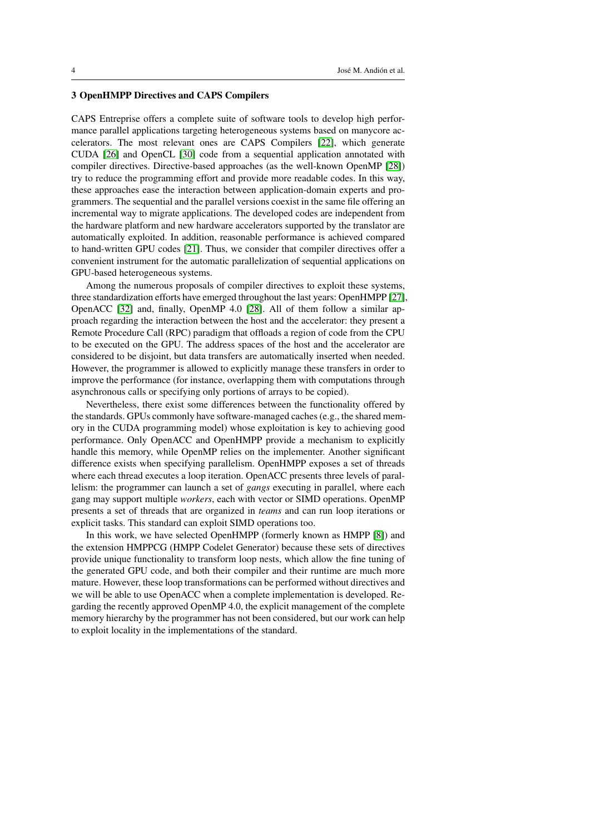# <span id="page-3-0"></span>3 OpenHMPP Directives and CAPS Compilers

CAPS Entreprise offers a complete suite of software tools to develop high performance parallel applications targeting heterogeneous systems based on manycore accelerators. The most relevant ones are CAPS Compilers [\[22\]](#page-21-11), which generate CUDA [\[26\]](#page-21-10) and OpenCL [\[30\]](#page-21-14) code from a sequential application annotated with compiler directives. Directive-based approaches (as the well-known OpenMP [\[28\]](#page-21-4)) try to reduce the programming effort and provide more readable codes. In this way, these approaches ease the interaction between application-domain experts and programmers. The sequential and the parallel versions coexist in the same file offering an incremental way to migrate applications. The developed codes are independent from the hardware platform and new hardware accelerators supported by the translator are automatically exploited. In addition, reasonable performance is achieved compared to hand-written GPU codes [\[21\]](#page-21-9). Thus, we consider that compiler directives offer a convenient instrument for the automatic parallelization of sequential applications on GPU-based heterogeneous systems.

Among the numerous proposals of compiler directives to exploit these systems, three standardization efforts have emerged throughout the last years: OpenHMPP [\[27\]](#page-21-6), OpenACC [\[32\]](#page-21-5) and, finally, OpenMP 4.0 [\[28\]](#page-21-4). All of them follow a similar approach regarding the interaction between the host and the accelerator: they present a Remote Procedure Call (RPC) paradigm that offloads a region of code from the CPU to be executed on the GPU. The address spaces of the host and the accelerator are considered to be disjoint, but data transfers are automatically inserted when needed. However, the programmer is allowed to explicitly manage these transfers in order to improve the performance (for instance, overlapping them with computations through asynchronous calls or specifying only portions of arrays to be copied).

Nevertheless, there exist some differences between the functionality offered by the standards. GPUs commonly have software-managed caches (e.g., the shared memory in the CUDA programming model) whose exploitation is key to achieving good performance. Only OpenACC and OpenHMPP provide a mechanism to explicitly handle this memory, while OpenMP relies on the implementer. Another significant difference exists when specifying parallelism. OpenHMPP exposes a set of threads where each thread executes a loop iteration. OpenACC presents three levels of parallelism: the programmer can launch a set of *gangs* executing in parallel, where each gang may support multiple *workers*, each with vector or SIMD operations. OpenMP presents a set of threads that are organized in *teams* and can run loop iterations or explicit tasks. This standard can exploit SIMD operations too.

In this work, we have selected OpenHMPP (formerly known as HMPP [\[8\]](#page-20-2)) and the extension HMPPCG (HMPP Codelet Generator) because these sets of directives provide unique functionality to transform loop nests, which allow the fine tuning of the generated GPU code, and both their compiler and their runtime are much more mature. However, these loop transformations can be performed without directives and we will be able to use OpenACC when a complete implementation is developed. Regarding the recently approved OpenMP 4.0, the explicit management of the complete memory hierarchy by the programmer has not been considered, but our work can help to exploit locality in the implementations of the standard.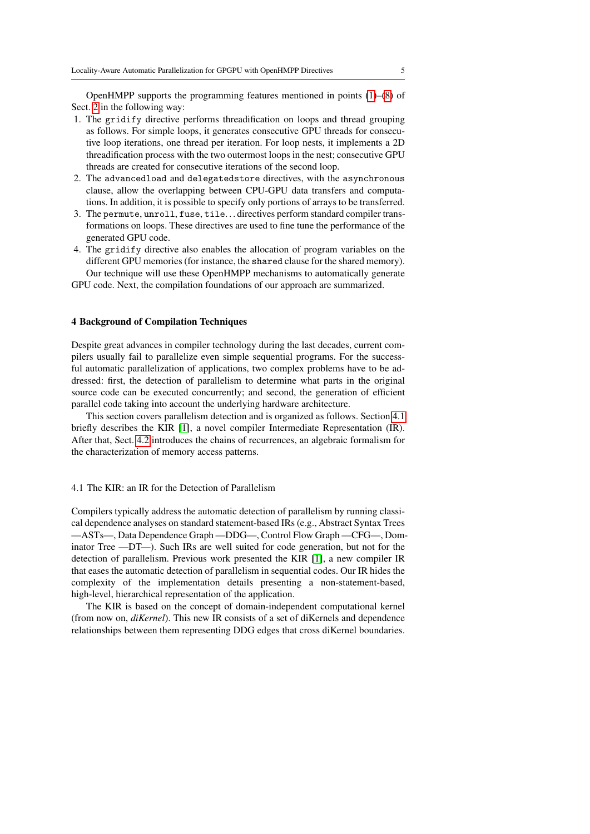OpenHMPP supports the programming features mentioned in points [\(1\)](#page-2-1)–[\(8\)](#page-2-2) of Sect. [2](#page-2-0) in the following way:

- 1. The gridify directive performs threadification on loops and thread grouping as follows. For simple loops, it generates consecutive GPU threads for consecutive loop iterations, one thread per iteration. For loop nests, it implements a 2D threadification process with the two outermost loops in the nest; consecutive GPU threads are created for consecutive iterations of the second loop.
- 2. The advancedload and delegatedstore directives, with the asynchronous clause, allow the overlapping between CPU-GPU data transfers and computations. In addition, it is possible to specify only portions of arrays to be transferred.
- 3. The permute, unroll, fuse, tile. . . directives perform standard compiler transformations on loops. These directives are used to fine tune the performance of the generated GPU code.
- 4. The gridify directive also enables the allocation of program variables on the different GPU memories (for instance, the shared clause for the shared memory). Our technique will use these OpenHMPP mechanisms to automatically generate

GPU code. Next, the compilation foundations of our approach are summarized.

### <span id="page-4-0"></span>4 Background of Compilation Techniques

Despite great advances in compiler technology during the last decades, current compilers usually fail to parallelize even simple sequential programs. For the successful automatic parallelization of applications, two complex problems have to be addressed: first, the detection of parallelism to determine what parts in the original source code can be executed concurrently; and second, the generation of efficient parallel code taking into account the underlying hardware architecture.

This section covers parallelism detection and is organized as follows. Section [4.1](#page-4-1) briefly describes the KIR [\[1\]](#page-20-1), a novel compiler Intermediate Representation (IR). After that, Sect. [4.2](#page-5-0) introduces the chains of recurrences, an algebraic formalism for the characterization of memory access patterns.

#### <span id="page-4-1"></span>4.1 The KIR: an IR for the Detection of Parallelism

Compilers typically address the automatic detection of parallelism by running classical dependence analyses on standard statement-based IRs (e.g., Abstract Syntax Trees —ASTs—, Data Dependence Graph —DDG—, Control Flow Graph —CFG—, Dominator Tree —DT—). Such IRs are well suited for code generation, but not for the detection of parallelism. Previous work presented the KIR [\[1\]](#page-20-1), a new compiler IR that eases the automatic detection of parallelism in sequential codes. Our IR hides the complexity of the implementation details presenting a non-statement-based, high-level, hierarchical representation of the application.

The KIR is based on the concept of domain-independent computational kernel (from now on, *diKernel*). This new IR consists of a set of diKernels and dependence relationships between them representing DDG edges that cross diKernel boundaries.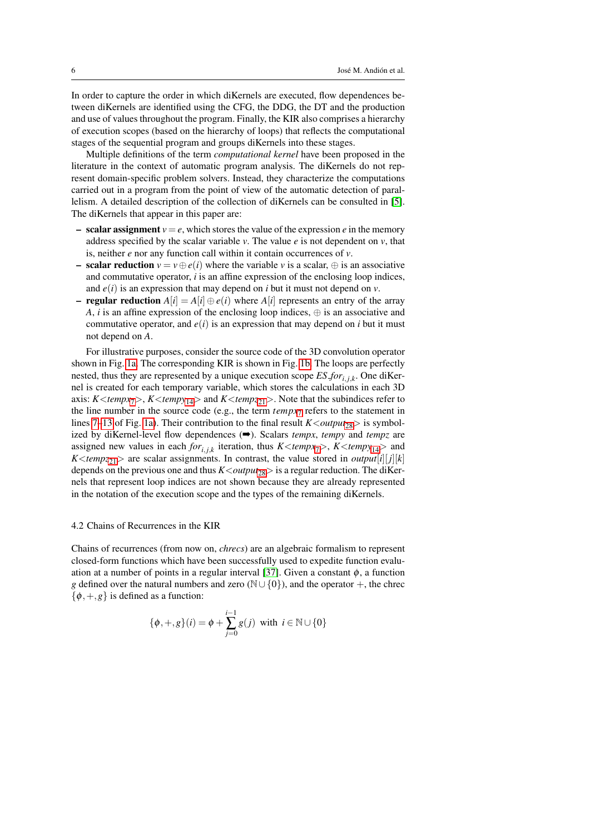In order to capture the order in which diKernels are executed, flow dependences between diKernels are identified using the CFG, the DDG, the DT and the production and use of values throughout the program. Finally, the KIR also comprises a hierarchy of execution scopes (based on the hierarchy of loops) that reflects the computational stages of the sequential program and groups diKernels into these stages.

Multiple definitions of the term *computational kernel* have been proposed in the literature in the context of automatic program analysis. The diKernels do not represent domain-specific problem solvers. Instead, they characterize the computations carried out in a program from the point of view of the automatic detection of parallelism. A detailed description of the collection of diKernels can be consulted in [\[5\]](#page-20-3). The diKernels that appear in this paper are:

- scalar assignment  $v = e$ , which stores the value of the expression *e* in the memory address specified by the scalar variable *v*. The value *e* is not dependent on *v*, that is, neither *e* nor any function call within it contain occurrences of *v*.
- **− scalar reduction**  $v = v \oplus e(i)$  where the variable *v* is a scalar,  $\oplus$  is an associative and commutative operator, *i* is an affine expression of the enclosing loop indices, and  $e(i)$  is an expression that may depend on *i* but it must not depend on *v*.
- regular reduction  $A[i] = A[i] \oplus e(i)$  where  $A[i]$  represents an entry of the array *A*, *i* is an affine expression of the enclosing loop indices,  $\oplus$  is an associative and commutative operator, and  $e(i)$  is an expression that may depend on *i* but it must not depend on *A*.

For illustrative purposes, consider the source code of the 3D convolution operator shown in Fig. [1a.](#page-6-0) The corresponding KIR is shown in Fig. [1b.](#page-6-1) The loops are perfectly nested, thus they are represented by a unique execution scope *ES fori*, *<sup>j</sup>*,*<sup>k</sup>* . One diKernel is created for each temporary variable, which stores the calculations in each 3D axis:  $K \leq tempx_7$  $K \leq tempx_7$ ,  $K \leq tempy_{14}$  $K \leq tempy_{14}$  $K \leq tempy_{14}$  and  $K \leq tempz_{21}$  $K \leq tempz_{21}$  $K \leq tempz_{21}$ . Note that the subindices refer to the line number in the source code (e.g., the term *tempx*[7](#page-6-2) refers to the statement in lines [7](#page-6-2)[–13](#page-6-5) of Fig. [1a\)](#page-6-0). Their contribution to the final result  $K <sub>output</sub><sub>28</sub> >$  $K <sub>output</sub><sub>28</sub> >$  $K <sub>output</sub><sub>28</sub> >$  is symbolized by diKernel-level flow dependences (➡). Scalars *tempx*, *tempy* and *tempz* are assigned new values in each  $for_{i,j,k}$  iteration, thus  $K \leq temp_{\chi} > K \leq temp_{\chi} \leq$  and  $K$   $\lt$  *tempz*<sub>[21](#page-6-4)</sub>  $>$  are scalar assignments. In contrast, the value stored in *output*[*i*][*j*][*k*] depends on the previous one and thus  $K <sub>output28</sub> >$  $K <sub>output28</sub> >$  $K <sub>output28</sub> >$  is a regular reduction. The diKernels that represent loop indices are not shown because they are already represented in the notation of the execution scope and the types of the remaining diKernels.

#### <span id="page-5-0"></span>4.2 Chains of Recurrences in the KIR

Chains of recurrences (from now on, *chrecs*) are an algebraic formalism to represent closed-form functions which have been successfully used to expedite function evalu-ation at a number of points in a regular interval [\[37\]](#page-21-12). Given a constant  $\phi$ , a function *g* defined over the natural numbers and zero ( $\mathbb{N}\cup\{0\}$ ), and the operator +, the chrec  $\{\phi, +, g\}$  is defined as a function:

$$
\{\phi, +, g\}(i) = \phi + \sum_{j=0}^{i-1} g(j) \text{ with } i \in \mathbb{N} \cup \{0\}
$$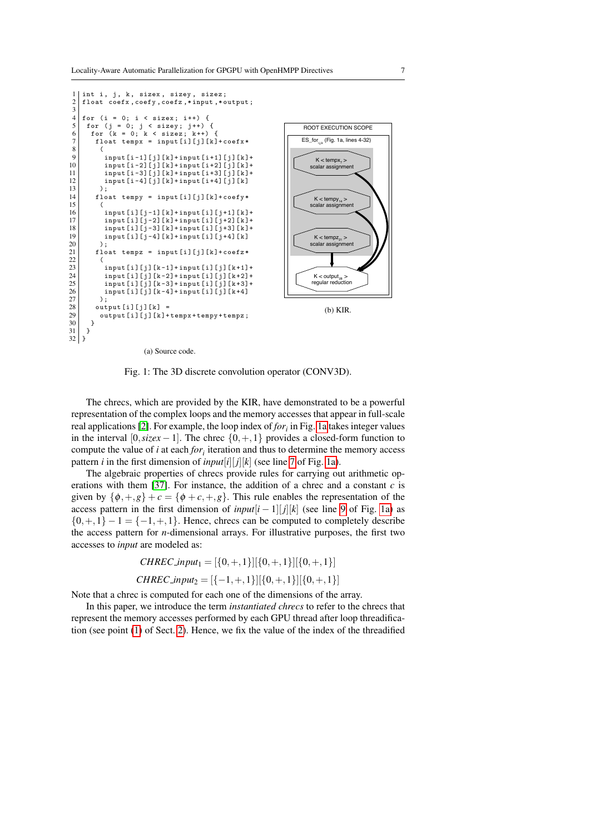<span id="page-6-10"></span><span id="page-6-9"></span><span id="page-6-8"></span><span id="page-6-7"></span><span id="page-6-5"></span><span id="page-6-3"></span><span id="page-6-2"></span>

<span id="page-6-12"></span><span id="page-6-6"></span><span id="page-6-4"></span><span id="page-6-1"></span>(a) Source code.

<span id="page-6-11"></span><span id="page-6-0"></span>Fig. 1: The 3D discrete convolution operator (CONV3D).

The chrecs, which are provided by the KIR, have demonstrated to be a powerful representation of the complex loops and the memory accesses that appear in full-scale real applications [\[2\]](#page-20-4). For example, the loop index of *for<sup>i</sup>* in Fig. [1a](#page-6-0) takes integer values in the interval  $[0, \text{size}x - 1]$ . The chrec  $\{0, +, 1\}$  provides a closed-form function to compute the value of  $i$  at each  $for_i$  iteration and thus to determine the memory access pattern *i* in the first dimension of *input*[ $i$ ][ $j$ ][ $k$ ] (see line [7](#page-6-2) of Fig. [1a\)](#page-6-0).

The algebraic properties of chrecs provide rules for carrying out arithmetic operations with them  $[37]$ . For instance, the addition of a chrec and a constant  $c$  is given by  $\{\phi, +, g\} + c = \{\phi + c, +, g\}$ . This rule enables the representation of the access pattern in the first dimension of  $input[i-1][j][k]$  (see line [9](#page-6-7) of Fig. [1a\)](#page-6-0) as  ${0, +, 1} - 1 = {-1, +, 1}$ . Hence, chrecs can be computed to completely describe the access pattern for *n*-dimensional arrays. For illustrative purposes, the first two accesses to *input* are modeled as:

*CHREC input*<sup>1</sup> = [{0,+,1}][{0,+,1}][{0,+,1}]

$$
CHREC\_input_2 = [{-1,+,1}] [[0,+,1]][[0,+,1]]
$$

Note that a chrec is computed for each one of the dimensions of the array.

In this paper, we introduce the term *instantiated chrecs* to refer to the chrecs that represent the memory accesses performed by each GPU thread after loop threadification (see point [\(1\)](#page-2-1) of Sect. [2\)](#page-2-0). Hence, we fix the value of the index of the threadified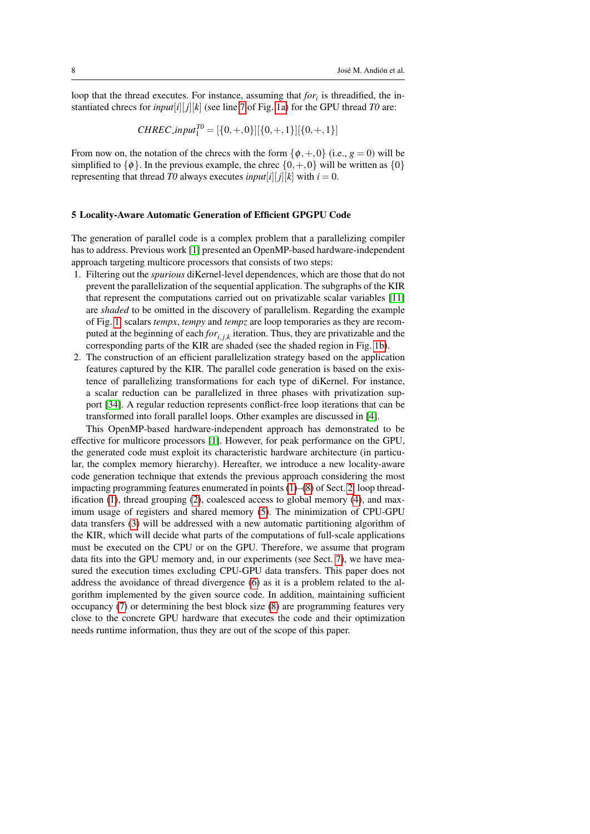loop that the thread executes. For instance, assuming that *for*<sub>*i*</sub> is threadified, the instantiated chrecs for  $input[i][j][k]$  (see line [7](#page-6-2) of Fig. [1a\)](#page-6-0) for the GPU thread *T0* are:

$$
CHREC\_input_1^{TO} = [{0, +, 0}] [[0, +, 1]][0, +, 1]]
$$

From now on, the notation of the chrecs with the form  $\{\phi, +, 0\}$  (i.e.,  $g = 0$ ) will be simplified to  $\{\phi\}$ . In the previous example, the chrec  $\{0, +, 0\}$  will be written as  $\{0\}$ representing that thread *T0* always executes *input*[*i*][*j*][*k*] with  $i = 0$ .

### <span id="page-7-0"></span>5 Locality-Aware Automatic Generation of Efficient GPGPU Code

The generation of parallel code is a complex problem that a parallelizing compiler has to address. Previous work [\[1\]](#page-20-1) presented an OpenMP-based hardware-independent approach targeting multicore processors that consists of two steps:

- 1. Filtering out the *spurious* diKernel-level dependences, which are those that do not prevent the parallelization of the sequential application. The subgraphs of the KIR that represent the computations carried out on privatizable scalar variables [\[11\]](#page-20-5) are *shaded* to be omitted in the discovery of parallelism. Regarding the example of Fig. [1,](#page-6-8) scalars *tempx*, *tempy* and *tempz* are loop temporaries as they are recomputed at the beginning of each *fori*, *<sup>j</sup>*,*<sup>k</sup>* iteration. Thus, they are privatizable and the corresponding parts of the KIR are shaded (see the shaded region in Fig. [1b\)](#page-6-1).
- 2. The construction of an efficient parallelization strategy based on the application features captured by the KIR. The parallel code generation is based on the existence of parallelizing transformations for each type of diKernel. For instance, a scalar reduction can be parallelized in three phases with privatization support [\[34\]](#page-21-15). A regular reduction represents conflict-free loop iterations that can be transformed into forall parallel loops. Other examples are discussed in [\[4\]](#page-20-6).

This OpenMP-based hardware-independent approach has demonstrated to be effective for multicore processors [\[1\]](#page-20-1). However, for peak performance on the GPU, the generated code must exploit its characteristic hardware architecture (in particular, the complex memory hierarchy). Hereafter, we introduce a new locality-aware code generation technique that extends the previous approach considering the most impacting programming features enumerated in points [\(1\)](#page-2-1)–[\(8\)](#page-2-2) of Sect. [2:](#page-2-0) loop threadification  $(1)$ , thread grouping  $(2)$ , coalesced access to global memory  $(4)$ , and maximum usage of registers and shared memory [\(5\)](#page-2-5). The minimization of CPU-GPU data transfers [\(3\)](#page-2-6) will be addressed with a new automatic partitioning algorithm of the KIR, which will decide what parts of the computations of full-scale applications must be executed on the CPU or on the GPU. Therefore, we assume that program data fits into the GPU memory and, in our experiments (see Sect. [7\)](#page-16-0), we have measured the execution times excluding CPU-GPU data transfers. This paper does not address the avoidance of thread divergence [\(6\)](#page-2-7) as it is a problem related to the algorithm implemented by the given source code. In addition, maintaining sufficient occupancy [\(7\)](#page-2-8) or determining the best block size [\(8\)](#page-2-2) are programming features very close to the concrete GPU hardware that executes the code and their optimization needs runtime information, thus they are out of the scope of this paper.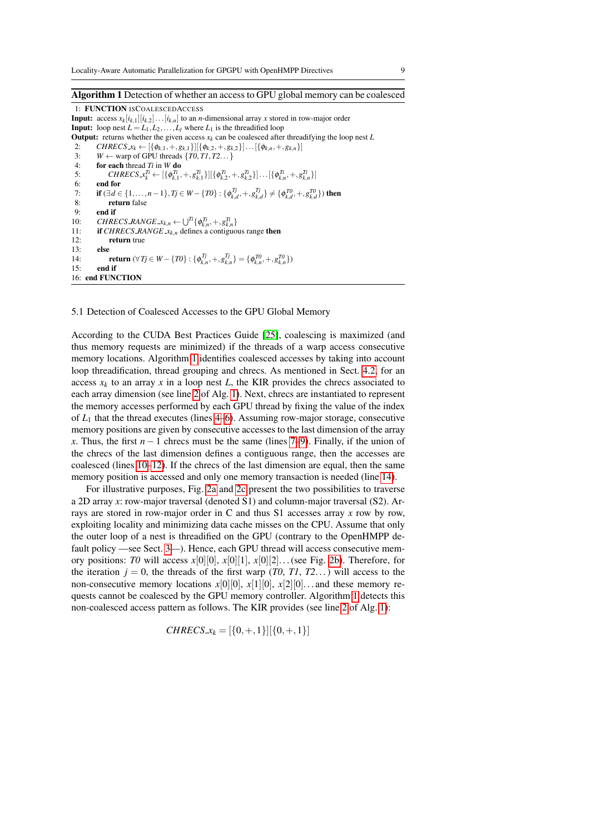#### <span id="page-8-0"></span>Algorithm 1 Detection of whether an access to GPU global memory can be coalesced

1: FUNCTION ISCOALESCEDACCESS **Input:** access  $x_k[i_{k,1}][i_{k,2}] \ldots [i_{k,n}]$  to an *n*-dimensional array *x* stored in row-major order **Input:** loop nest  $L = L_1, L_2, \ldots, L_l$  where  $L_1$  is the threadified loop **Output:** returns whether the given access  $x_k$  can be coalesced after threadifying the loop nest *L* 2: *CHRECS*  $x_k \leftarrow [\{\phi_{k,1}, +, g_{k,1}\}] [\{\phi_{k,2}, +, g_{k,2}\}] \cdots [\{\phi_{k,n}, +, g_{k,n}\}]$ <br>3:  $W \leftarrow$  warp of GPU threads  $\{T0, T1, T2 \cdots\}$  $W \leftarrow$  warp of GPU threads  $\{T0, T1, T2... \}$ 4: for each thread *Ti* in *W* do 5:  $CHRECS \mathcal{A}_k^{T_i} \leftarrow [\{\phi_{k,1}^{T_i}, +, g_{k,1}^{T_i}\}][\{\phi_{k,2}^{T_i}, +, g_{k,2}^{T_i}\}]\dots[\{\phi_{k,n}^{T_i}, +, g_{k,n}^{T_i}\}]$ 6: end for 7: if  $(\exists d \in \{1,\ldots,n-1\},Tj \in W - \{TO\} : \{\phi_{k,d}^{Tj},+,{g}_{k,d}^{Tj}\}\neq \{\phi_{k,d}^{T0},+,{g}_{k,d}^{T0}\})$  then 8: **return** false<br>9: **end if** end if 10: *CHRECS\_RANGE\_* $x_{k,n} \leftarrow \bigcup^{T_i} {\{\phi_{k,n}^{T_i}, +, g_{k,n}^{T_i}\}}$ 11: **if** CHRECS\_RANGE  $x_{k,n}$  defines a contiguous range then 12: return true 13: **else**<br>14: 14: **return**  $(\forall T j \in W - \{T0\} : \{\phi_{k,n}^{Tj}, \{f_{k,n}^{Tj}\} = \{\phi_{k,n}^{T0}, \{f_{k,n}^{T0}\}\})$  $15<sup>°</sup>$  end if 16: end FUNCTION

#### 5.1 Detection of Coalesced Accesses to the GPU Global Memory

According to the CUDA Best Practices Guide [\[25\]](#page-21-13), coalescing is maximized (and thus memory requests are minimized) if the threads of a warp access consecutive memory locations. Algorithm [1](#page-8-0) identifies coalesced accesses by taking into account loop threadification, thread grouping and chrecs. As mentioned in Sect. [4.2,](#page-5-0) for an access  $x_k$  to an array  $x$  in a loop nest  $L$ , the KIR provides the chrecs associated to each array dimension (see line [2](#page-8-0) of Alg. [1\)](#page-8-0). Next, chrecs are instantiated to represent the memory accesses performed by each GPU thread by fixing the value of the index of  $L_1$  that the thread executes (lines  $4-6$ ). Assuming row-major storage, consecutive memory positions are given by consecutive accesses to the last dimension of the array *x*. Thus, the first  $n - 1$  chrecs must be the same (lines [7–9\)](#page-8-0). Finally, if the union of the chrecs of the last dimension defines a contiguous range, then the accesses are coalesced (lines [10–12\)](#page-8-0). If the chrecs of the last dimension are equal, then the same memory position is accessed and only one memory transaction is needed (line [14\)](#page-8-0).

For illustrative purposes, Fig. [2a](#page-9-0) and [2c](#page-9-1) present the two possibilities to traverse a 2D array *x*: row-major traversal (denoted S1) and column-major traversal (S2). Arrays are stored in row-major order in C and thus S1 accesses array *x* row by row, exploiting locality and minimizing data cache misses on the CPU. Assume that only the outer loop of a nest is threadified on the GPU (contrary to the OpenHMPP default policy —see Sect. [3—](#page-3-0)). Hence, each GPU thread will access consecutive memory positions: *T0* will access  $x[0][0], x[0][1], x[0][2]$ ... (see Fig. [2b\)](#page-9-2). Therefore, for the iteration  $j = 0$ , the threads of the first warp (*T0*, *T1*, *T2*...) will access to the non-consecutive memory locations  $x[0][0], x[1][0], x[2][0]$ ... and these memory requests cannot be coalesced by the GPU memory controller. Algorithm [1](#page-8-0) detects this non-coalesced access pattern as follows. The KIR provides (see line [2](#page-8-0) of Alg. [1\)](#page-8-0):

$$
CHRECS.x_k = [{0, +, 1}] [[0, +, 1]]
$$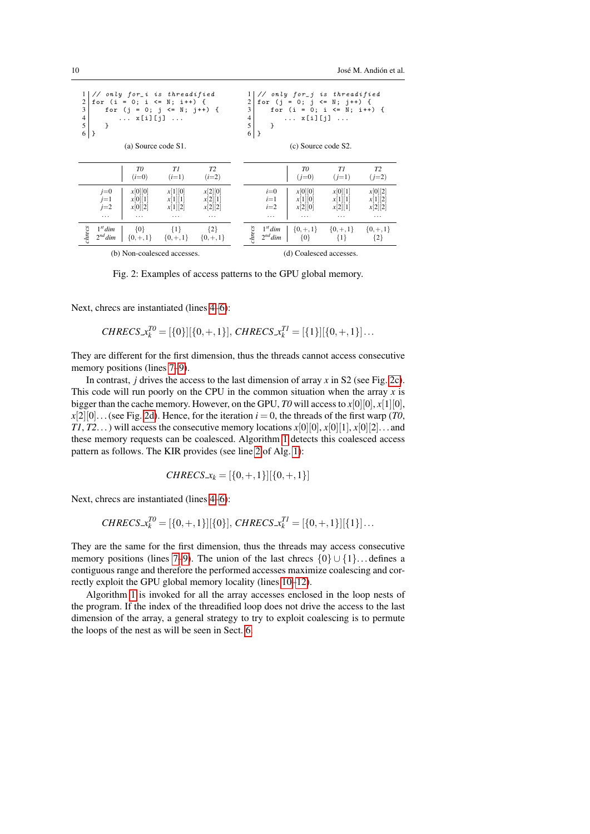<span id="page-9-2"></span><span id="page-9-1"></span><span id="page-9-0"></span>

| 2<br>3<br>4<br>5<br>ł<br>6<br>$\mathcal{F}$ | // only for_i is threadified<br>for $(i = 0; i \le N; i++)$ {<br>for $(j = 0; j \le N; j++)$ {<br>$\ldots x[i][j] \ldots$ |                                            |                                           | // only for_j is threadified<br>2<br>for $(j = 0; j \le N; j++)$ {<br>3<br>for $(i = 0; i \le N; i++)$ {<br>$\ldots x[i][j] \ldots$<br>4<br>5<br>}<br>6<br>} |                              |                                           |                                           |                                           |
|---------------------------------------------|---------------------------------------------------------------------------------------------------------------------------|--------------------------------------------|-------------------------------------------|--------------------------------------------------------------------------------------------------------------------------------------------------------------|------------------------------|-------------------------------------------|-------------------------------------------|-------------------------------------------|
|                                             | (a) Source code S1.                                                                                                       |                                            |                                           |                                                                                                                                                              |                              | (c) Source code S2.                       |                                           |                                           |
|                                             | T0<br>$(i=0)$                                                                                                             | T1<br>$(i=1)$                              | T <sub>2</sub><br>$(i=2)$                 |                                                                                                                                                              |                              | TO<br>$(i=0)$                             | T1<br>$(i=1)$                             | T2<br>$(i=2)$                             |
| $j=0$<br>$j=1$<br>$i=2$<br>$\cdots$         | x[0][0]<br>x[0][1]<br>x[0][2]<br>$\cdots$                                                                                 | x[1][0]<br>  x  1  <br>x[1][2]<br>$\cdots$ | x[2][0]<br>x[2][1]<br>x[2][2]<br>$\cdots$ |                                                                                                                                                              | $i=0$<br>$i=1$<br>$i=2$<br>. | x[0][0]<br>x[1][0]<br>x[2][0]<br>$\cdots$ | x[0][1]<br>x[1][1]<br>x[2][1]<br>$\cdots$ | x[0][2]<br>x[1][2]<br>x[2][2]<br>$\cdots$ |
| threes<br>$1st$ dim<br>$2^{nd}$ dim         | $\{0\}$<br>$\{0, +, 1\}$                                                                                                  | ${1}$<br>$\{0, +, 1\}$                     | ${2}$<br>$\{0, +, 1\}$                    | threcs                                                                                                                                                       | $1^{st}$ dim<br>$2^{nd}$ dim | $\{0,+,1\}$<br>$\{0\}$                    | $\{0, +, 1\}$<br>$\{1\}$                  | $\{0, +, 1\}$<br>${2}$                    |
|                                             | (b) Non-coalesced accesses.                                                                                               |                                            |                                           |                                                                                                                                                              |                              | (d) Coalesced accesses.                   |                                           |                                           |

<span id="page-9-3"></span>Fig. 2: Examples of access patterns to the GPU global memory.

Next, chrecs are instantiated (lines [4–6\)](#page-8-0):

$$
CHRECS.\mathbf{x}_{k}^{TO} = [\{0\}][\{0,+,1\}], \text{CHRECS.}\mathbf{x}_{k}^{TI} = [\{1\}][\{0,+,1\}]\ldots
$$

They are different for the first dimension, thus the threads cannot access consecutive memory positions (lines [7–9\)](#page-8-0).

In contrast, *j* drives the access to the last dimension of array *x* in S2 (see Fig. [2c\)](#page-9-1). This code will run poorly on the CPU in the common situation when the array  $x$  is bigger than the cache memory. However, on the GPU, *T0* will access to *x*[0][0], *x*[1][0],  $x[2][0]$ ... (see Fig. [2d\)](#page-9-3). Hence, for the iteration  $i = 0$ , the threads of the first warp (*T0*, *T1*, *T2*. . . ) will access the consecutive memory locations *x*[0][0], *x*[0][1], *x*[0][2]. . . and these memory requests can be coalesced. Algorithm [1](#page-8-0) detects this coalesced access pattern as follows. The KIR provides (see line [2](#page-8-0) of Alg. [1\)](#page-8-0):

$$
CHRECS_x_k = [{0,+,1}] [ {0,+,1} ]
$$

Next, chrecs are instantiated (lines [4–6\)](#page-8-0):

$$
CHRECS.x_k^{TO} = [\{0,+,1\}][\{0\}], CHRECS.x_k^{TI} = [\{0,+,1\}][\{1\}]\ldots
$$

They are the same for the first dimension, thus the threads may access consecutive memory positions (lines [7–9\)](#page-8-0). The union of the last chrecs  $\{0\} \cup \{1\}$ ... defines a contiguous range and therefore the performed accesses maximize coalescing and correctly exploit the GPU global memory locality (lines [10–12\)](#page-8-0).

Algorithm [1](#page-8-0) is invoked for all the array accesses enclosed in the loop nests of the program. If the index of the threadified loop does not drive the access to the last dimension of the array, a general strategy to try to exploit coalescing is to permute the loops of the nest as will be seen in Sect. [6.](#page-10-0)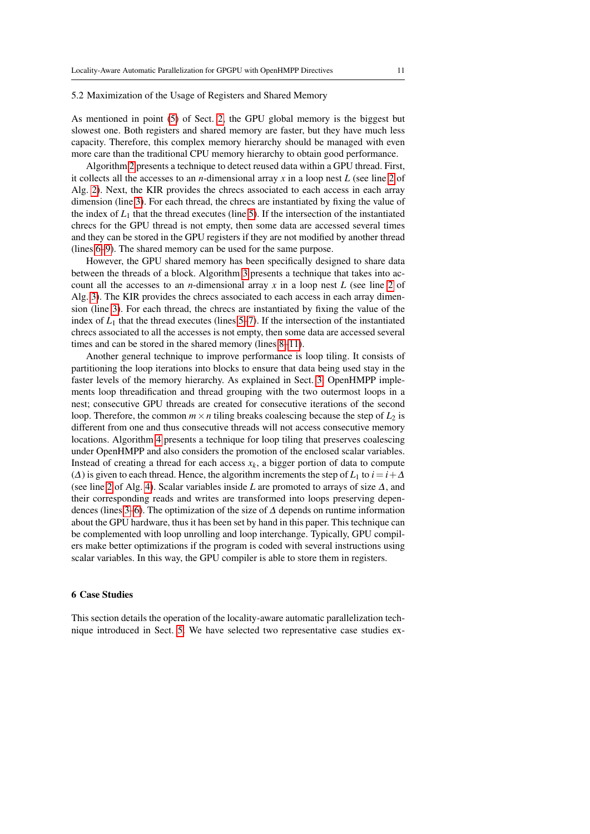#### <span id="page-10-1"></span>5.2 Maximization of the Usage of Registers and Shared Memory

As mentioned in point [\(5\)](#page-2-5) of Sect. [2,](#page-2-0) the GPU global memory is the biggest but slowest one. Both registers and shared memory are faster, but they have much less capacity. Therefore, this complex memory hierarchy should be managed with even more care than the traditional CPU memory hierarchy to obtain good performance.

Algorithm [2](#page-11-0) presents a technique to detect reused data within a GPU thread. First, it collects all the accesses to an *n*-dimensional array *x* in a loop nest *L* (see line [2](#page-11-0) of Alg. [2\)](#page-11-0). Next, the KIR provides the chrecs associated to each access in each array dimension (line [3\)](#page-11-0). For each thread, the chrecs are instantiated by fixing the value of the index of  $L_1$  that the thread executes (line [5\)](#page-11-0). If the intersection of the instantiated chrecs for the GPU thread is not empty, then some data are accessed several times and they can be stored in the GPU registers if they are not modified by another thread (lines [6–9\)](#page-11-0). The shared memory can be used for the same purpose.

However, the GPU shared memory has been specifically designed to share data between the threads of a block. Algorithm [3](#page-11-1) presents a technique that takes into account all the accesses to an *n*-dimensional array *x* in a loop nest *L* (see line [2](#page-11-1) of Alg. [3\)](#page-11-1). The KIR provides the chrecs associated to each access in each array dimension (line [3\)](#page-11-1). For each thread, the chrecs are instantiated by fixing the value of the index of  $L_1$  that the thread executes (lines [5–7\)](#page-11-1). If the intersection of the instantiated chrecs associated to all the accesses is not empty, then some data are accessed several times and can be stored in the shared memory (lines [8–11\)](#page-11-1).

Another general technique to improve performance is loop tiling. It consists of partitioning the loop iterations into blocks to ensure that data being used stay in the faster levels of the memory hierarchy. As explained in Sect. [3,](#page-3-0) OpenHMPP implements loop threadification and thread grouping with the two outermost loops in a nest; consecutive GPU threads are created for consecutive iterations of the second loop. Therefore, the common  $m \times n$  tiling breaks coalescing because the step of  $L_2$  is different from one and thus consecutive threads will not access consecutive memory locations. Algorithm [4](#page-11-2) presents a technique for loop tiling that preserves coalescing under OpenHMPP and also considers the promotion of the enclosed scalar variables. Instead of creating a thread for each access  $x_k$ , a bigger portion of data to compute ( $\Delta$ ) is given to each thread. Hence, the algorithm increments the step of  $L_1$  to  $i = i + \Delta$ (see line [2](#page-11-2) of Alg. [4\)](#page-11-2). Scalar variables inside *L* are promoted to arrays of size ∆, and their corresponding reads and writes are transformed into loops preserving dependences (lines [3–6\)](#page-11-2). The optimization of the size of ∆ depends on runtime information about the GPU hardware, thus it has been set by hand in this paper. This technique can be complemented with loop unrolling and loop interchange. Typically, GPU compilers make better optimizations if the program is coded with several instructions using scalar variables. In this way, the GPU compiler is able to store them in registers.

#### <span id="page-10-0"></span>6 Case Studies

This section details the operation of the locality-aware automatic parallelization technique introduced in Sect. [5.](#page-7-0) We have selected two representative case studies ex-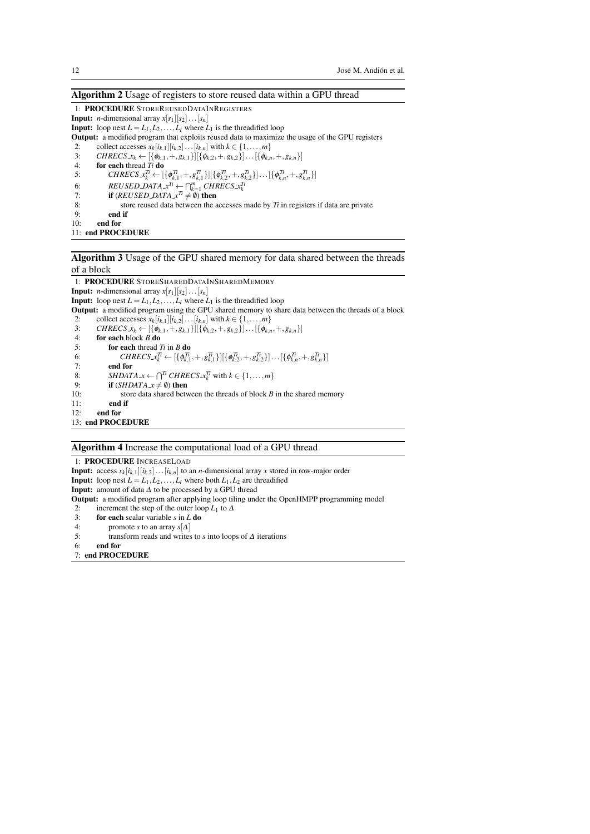<span id="page-11-0"></span>

| Algorithm 2 Usage of registers to store reused data within a GPU thread |  |
|-------------------------------------------------------------------------|--|
|-------------------------------------------------------------------------|--|

1: PROCEDURE STOREREUSEDDATAINREGISTERS

**Input:** *n*-dimensional array  $x[s_1][s_2] \dots [s_n]$ **Input:** loop nest  $L = L_1, L_2, \ldots, L_l$  where  $L_1$  is the threadified loop Output: a modified program that exploits reused data to maximize the usage of the GPU registers 2: collect accesses  $x_k[i_{k,1}][i_{k,2}] \dots [i_{k,n}]$  with  $k \in \{1, \dots, m\}$ 

- 3: *CHRECS*  $x_k \leftarrow [\{\phi_{k,1}, +, g_{k,1}\}][\{\phi_{k,2}, +, g_{k,2}\}]\dots[\{\phi_{k,n}, +, g_{k,n}\}]$ <br>4: **for each** thread *Ti* **do**
- for each thread *Ti* do
- 5:  $CHRECS \mathcal{A}_k^{T_i} \leftarrow [\{\phi_{k,1}^{T_i}, +, g_{k,1}^{T_i}\}][\{\phi_{k,2}^{T_i}, +, g_{k,2}^{T_i}\}]\dots[\{\phi_{k,n}^{T_i}, +, g_{k,n}^{T_i}\}]$
- 6:  $REUSED\_DATA \cdot x^{Ti} \leftarrow \bigcap_{k=1}^{m} CHRECS \cdot x_{k}^{Ti}$ <br>7: **if** (*REUSED\_DATA*  $x^{Ti} \neq \emptyset$ ) then
- 
- 8: store reused data between the accesses made by *Ti* in registers if data are private 9:
- end if
- 10: end for

```
11: end PROCEDURE
```
<span id="page-11-1"></span>Algorithm 3 Usage of the GPU shared memory for data shared between the threads of a block

1: PROCEDURE STORESHAREDDATAINSHAREDMEMORY **Input:** *n*-dimensional array  $x[s_1][s_2] \dots [s_n]$ **Input:** loop nest  $L = L_1, L_2, \ldots, L_l$  where  $L_1$  is the threadified loop Output: a modified program using the GPU shared memory to share data between the threads of a block 2: collect accesses  $x_k[i_{k,1}][i_{k,2}] \dots [i_{k,n}]$  with  $k \in \{1, \dots, m\}$ 3: *CHRECS*  $x_k \leftarrow [\{\phi_{k,1}, +, g_{k,1}\}][\{\phi_{k,2}, +, g_{k,2}\}] \dots [\{\phi_{k,n}, +, g_{k,n}\}]$ 4: **for each** block  $B$  **do**<br>5: **for each** thread  $\overline{A}$ 5: for each thread *Ti* in *B* do 6:  $CHRECS \tImes \tImes \tImes \tImes \tImes \left[ \{\phi_{k,1}^{T_1}, +, g_{k,1}^{T_1}\} \right] [\{\phi_{k,2}^{T_1}, +, g_{k,2}^{T_1}\}]\tImes \left[ \{\phi_{k,n}^{T_1}, +, g_{k,n}^{T_1}\} \right]$ 7: **end for**<br>8: *SHDAT* 8: *SHDATA*  $x \leftarrow \bigcap^{T_i} \text{CHRECS } x_k^{T_i}$  with  $k \in \{1, \ldots, m\}$ 9: **if**  $(SHDATA_x \neq \emptyset)$  **then**<br>10: **store data shared bety** 10: store data shared between the threads of block *B* in the shared memory 11: end if 12: end for 13: end PROCEDURE

#### <span id="page-11-2"></span>Algorithm 4 Increase the computational load of a GPU thread

1: PROCEDURE INCREASELOAD **Input:** access  $x_k[i_{k,1}][i_{k,2}] \ldots [i_{k,n}]$  to an *n*-dimensional array *x* stored in row-major order **Input:** loop nest  $L = L_1, L_2, \ldots, L_l$  where both  $L_1, L_2$  are threadified Input: amount of data ∆ to be processed by a GPU thread Output: a modified program after applying loop tiling under the OpenHMPP programming model 2: increment the step of the outer loop  $L_1$  to  $\Delta$ <br>3: **for each** scalar variable s in  $L$  **do** 3: **for each** scalar variable *s* in *L* **do** 4: promote *s* to an array  $s[\Delta]$ 4: promote *s* to an array  $s[\Delta]$ <br>5: transform reads and writes 5: transform reads and writes to *s* into loops of ∆ iterations end for 7: end PROCEDURE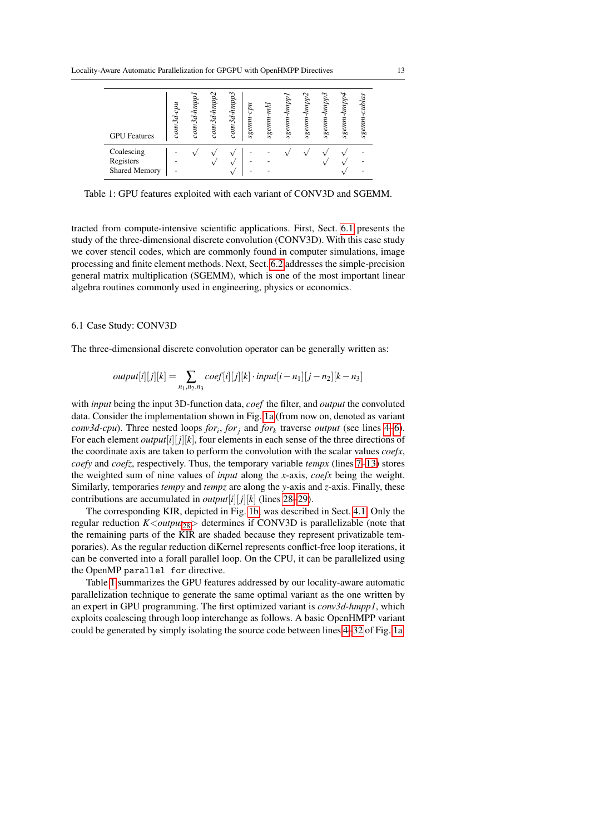<span id="page-12-1"></span>

| <b>GPU</b> Features                             | $conv3d$ -cpu | $conv3d$ -hmpp | $conv3d$ -hmpp | $\sim$<br>$conv3d$ -hmpp | tри<br>sgenm- | sgemm-mkl | ddun <sub>r</sub><br>sgenm- | Juthy<br>sgenm- | $\widetilde{\phantom{m}}$<br>hmpp.<br>sgennn | -daun-<br>sgenm- | cublas-<br>sgemm |
|-------------------------------------------------|---------------|----------------|----------------|--------------------------|---------------|-----------|-----------------------------|-----------------|----------------------------------------------|------------------|------------------|
| Coalescing<br>Registers<br><b>Shared Memory</b> |               |                |                |                          |               |           |                             |                 |                                              |                  |                  |

Table 1: GPU features exploited with each variant of CONV3D and SGEMM.

tracted from compute-intensive scientific applications. First, Sect. [6.1](#page-12-0) presents the study of the three-dimensional discrete convolution (CONV3D). With this case study we cover stencil codes, which are commonly found in computer simulations, image processing and finite element methods. Next, Sect. [6.2](#page-14-0) addresses the simple-precision general matrix multiplication (SGEMM), which is one of the most important linear algebra routines commonly used in engineering, physics or economics.

#### <span id="page-12-0"></span>6.1 Case Study: CONV3D

The three-dimensional discrete convolution operator can be generally written as:

$$
output[i][j][k] = \sum_{n_1,n_2,n_3} coeff[i][j][k] \cdot input[i-n_1][j-n_2][k-n_3]
$$

with *input* being the input 3D-function data, *coef* the filter, and *output* the convoluted data. Consider the implementation shown in Fig. [1a](#page-6-0) (from now on, denoted as variant *conv3d-cpu*). Three nested loops  $for_i$ ,  $for_j$  and  $for_k$  traverse *output* (see lines [4–](#page-6-9)[6\)](#page-6-10). For each element *output*[ $i$ ][ $j$ ][ $k$ ], four elements in each sense of the three directions of the coordinate axis are taken to perform the convolution with the scalar values *coefx*, *coefy* and *coefz*, respectively. Thus, the temporary variable *tempx* (lines [7–](#page-6-2)[13\)](#page-6-5) stores the weighted sum of nine values of *input* along the *x*-axis, *coefx* being the weight. Similarly, temporaries *tempy* and *tempz* are along the *y*-axis and *z*-axis. Finally, these contributions are accumulated in *output*[ $i$ ][ $j$ ][ $k$ ] (lines [28–](#page-6-6)[29\)](#page-6-11).

The corresponding KIR, depicted in Fig. [1b,](#page-6-1) was described in Sect. [4.1.](#page-4-1) Only the regular reduction  $K <sub>28</sub>$  $K <sub>28</sub>$  $K <sub>28</sub>$  determines if CONV3D is parallelizable (note that the remaining parts of the KIR are shaded because they represent privatizable temporaries). As the regular reduction diKernel represents conflict-free loop iterations, it can be converted into a forall parallel loop. On the CPU, it can be parallelized using the OpenMP parallel for directive.

Table [1](#page-12-1) summarizes the GPU features addressed by our locality-aware automatic parallelization technique to generate the same optimal variant as the one written by an expert in GPU programming. The first optimized variant is *conv3d-hmpp1*, which exploits coalescing through loop interchange as follows. A basic OpenHMPP variant could be generated by simply isolating the source code between lines [4](#page-6-9)[–32](#page-6-0) of Fig. [1a.](#page-6-0)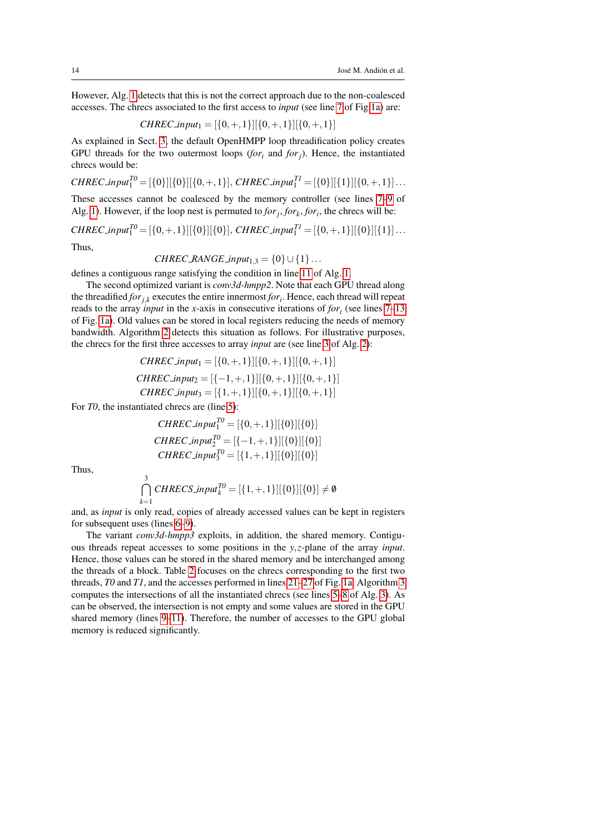However, Alg. [1](#page-8-0) detects that this is not the correct approach due to the non-coalesced accesses. The chrecs associated to the first access to *input* (see line [7](#page-6-2) of Fig[.1a\)](#page-6-0) are:

 $CHREC \_input_1 = [{0, +, 1}]$ [ ${0, +, 1}]$ ][ ${0, +, 1}$ ]

As explained in Sect. [3,](#page-3-0) the default OpenHMPP loop threadification policy creates GPU threads for the two outermost loops (*for*<sub>*i*</sub> and *for*<sub>*j*</sub>). Hence, the instantiated chrecs would be:

*CHREC\_input*<sup>*T0*</sup> = [{0}][{0}][{0, +, 1}], *CHREC\_input*<sup>*T1*</sup> = [{0}][{1}][{0, +, 1}]...

These accesses cannot be coalesced by the memory controller (see lines [7–9](#page-8-0) of Alg. [1\)](#page-8-0). However, if the loop nest is permuted to  $for_j, for_k, for_j$ , the chrecs will be:

*CHREC\_input*<sup>*T0*</sup><sub> $1$ </sub> = [{0, +, 1}][{0}][{0}], *CHREC\_input*<sup>*T1*</sup> = [{0, +, 1}][{0}][{1}]...

Thus,

*CHREC\_RANGE\_input*<sub>1,3</sub> =  $\{0\} \cup \{1\}$ ...

defines a contiguous range satisfying the condition in line [11](#page-8-0) of Alg. [1.](#page-8-0)

The second optimized variant is *conv3d-hmpp2*. Note that each GPU thread along the threadified *forj*,*<sup>k</sup>* executes the entire innermost *for<sup>i</sup>* . Hence, each thread will repeat reads to the array *input* in the *x*-axis in consecutive iterations of *for<sup>i</sup>* (see lines [7–](#page-6-2)[13](#page-6-5) of Fig. [1a\)](#page-6-0). Old values can be stored in local registers reducing the needs of memory bandwidth. Algorithm [2](#page-11-0) detects this situation as follows. For illustrative purposes, the chrecs for the first three accesses to array *input* are (see line [3](#page-11-0) of Alg. [2\)](#page-11-0):

$$
CHREC\_input_1 = [{0, +, 1}] [{0, +, 1}] [{0, +, 1}]
$$
  
\n
$$
CHREC\_input_2 = [{-1, +, 1}] [{0, +, 1}] [{0, +, 1}]
$$
  
\n
$$
CHREC\_input_3 = [{1, +, 1}] [{0, +, 1}] [{0, +, 1}]
$$

For *T0*, the instantiated chrecs are (line [5\)](#page-11-0):

 $CHREC \_input_1^{TO} = [{0, +, 1}]][{0}] [{0}]$  $CHREC$  *input*<sup>*T0*</sup> =  $[\{-1, +, 1\}] [\{0\}] [\{0\}]$  $CHREC$ <sub>-input</sub><sup>T0</sup> $= [\{1, +,1\}] [\{0\}] [\{0\}]$ 

Thus,

$$
\bigcap_{k=1}^{3} CHRECS\_input_k^{TO} = [{1, +, 1}] | \{0\} | \{0\} | \neq \emptyset
$$

and, as *input* is only read, copies of already accessed values can be kept in registers for subsequent uses (lines [6–9\)](#page-11-0).

The variant *conv3d-hmpp3* exploits, in addition, the shared memory. Contiguous threads repeat accesses to some positions in the *y*,*z*-plane of the array *input*. Hence, those values can be stored in the shared memory and be interchanged among the threads of a block. Table [2](#page-14-1) focuses on the chrecs corresponding to the first two threads, *T0* and *T1*, and the accesses performed in lines [21–](#page-6-4)[27](#page-6-12) of Fig. [1a.](#page-6-0) Algorithm [3](#page-11-1) computes the intersections of all the instantiated chrecs (see lines [5–8](#page-11-1) of Alg. [3\)](#page-11-1). As can be observed, the intersection is not empty and some values are stored in the GPU shared memory (lines [9–11\)](#page-11-1). Therefore, the number of accesses to the GPU global memory is reduced significantly.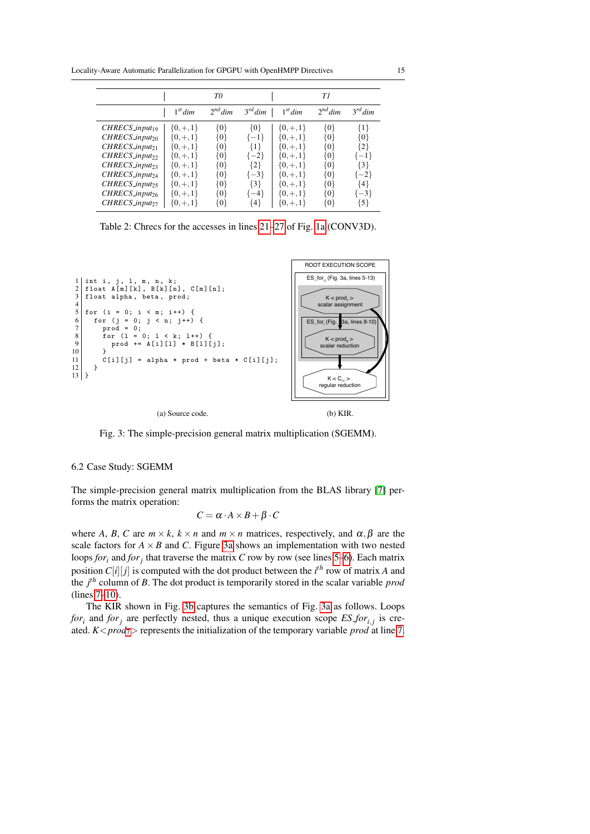<span id="page-14-1"></span>Locality-Aware Automatic Parallelization for GPGPU with OpenHMPP Directives 15

|                                              |               | T0        |              |               | TΙ        |              |
|----------------------------------------------|---------------|-----------|--------------|---------------|-----------|--------------|
|                                              | $1^{st}$ dim  | $2nd$ dim | $3^{rd}$ dim | $1^{st}$ dim  | $2nd$ dim | $3^{rd}$ dim |
| $CHRECS$ <sub>-input<sub>19</sub></sub>      | $\{0, +, 1\}$ | $\{0\}$   | $\{0\}$      | $\{0, +, 1\}$ | ${0}$     | $\{1\}$      |
| $CHRECS$ <sub>-input<sub>20</sub></sub>      | $\{0, +, 1\}$ | {0}       | $\{-1\}$     | $\{0, +, 1\}$ | ${0}$     | $\{0\}$      |
| $CHRECS$ <sub>-input<math>_{21}</math></sub> | $\{0, +, 1\}$ | $\{0\}$   | {1}          | $\{0, +, 1\}$ | ${0}$     | $\{2\}$      |
| $CHRECS$ <sub>-input<sub>22</sub></sub>      | $\{0, +, 1\}$ | {0}       | $-2\}$       | $\{0, +, 1\}$ | $\{0\}$   | $-1$         |
| $CHRECS$ <sub>-input23</sub>                 | $\{0, +, 1\}$ | {0}       | {2}          | $\{0, +, 1\}$ | $\{0\}$   | {3}          |
| $CHRECS$ <sub>-input<sub>24</sub></sub>      | $\{0, +, 1\}$ | $\{0\}$   | $\{-3\}$     | $\{0, +, 1\}$ | $\{0\}$   | $-2\}$       |
| $CHRECS$ <sub>-input<sub>25</sub></sub>      | $\{0, +, 1\}$ | ${0}$     | {3}          | $\{0, +, 1\}$ | $\{0\}$   | {4}          |
| $CHRECS$ <sub>-input<sub>26</sub></sub>      | $\{0, +, 1\}$ | $\{0\}$   | $\{-4\}$     | $\{0, +, 1\}$ | $\{0\}$   | $\{-3\}$     |
| $CHRECS$ <sub>-input27</sub>                 | $\{0, +, 1\}$ | {0}       | {4}          | $\{0, +, 1\}$ | $\{0\}$   | $\{5\}$      |

Table 2: Chrecs for the accesses in lines [21](#page-6-4)[–27](#page-6-12) of Fig. [1a](#page-6-0) (CONV3D).

<span id="page-14-8"></span><span id="page-14-5"></span><span id="page-14-4"></span><span id="page-14-3"></span>

(a) Source code.

<span id="page-14-7"></span>(b) KIR.

<span id="page-14-9"></span><span id="page-14-6"></span><span id="page-14-2"></span>Fig. 3: The simple-precision general matrix multiplication (SGEMM).

#### <span id="page-14-0"></span>6.2 Case Study: SGEMM

The simple-precision general matrix multiplication from the BLAS library [\[7\]](#page-20-7) performs the matrix operation:

$$
C = \alpha \cdot A \times B + \beta \cdot C
$$

where *A*, *B*, *C* are  $m \times k$ ,  $k \times n$  and  $m \times n$  matrices, respectively, and  $\alpha, \beta$  are the scale factors for  $A \times B$  and *C*. Figure [3a](#page-14-2) shows an implementation with two nested loops *for*<sub>*i*</sub> and *for*<sub>*j*</sub> that traverse the matrix *C* row by row (see lines [5](#page-14-3)[–6\)](#page-14-4). Each matrix position  $C[i][j]$  is computed with the dot product between the  $i^{th}$  row of matrix A and the *j th* column of *B*. The dot product is temporarily stored in the scalar variable *prod* (lines [7–](#page-14-5)[10\)](#page-14-6).

The KIR shown in Fig. [3b](#page-14-7) captures the semantics of Fig. [3a](#page-14-2) as follows. Loops *for*<sub>*i*</sub> and *for*<sub>*j*</sub> are perfectly nested, thus a unique execution scope  $ES\_for_{i,j}$  is created. *K*<*prod*[7](#page-14-5)> represents the initialization of the temporary variable *prod* at line [7.](#page-14-5)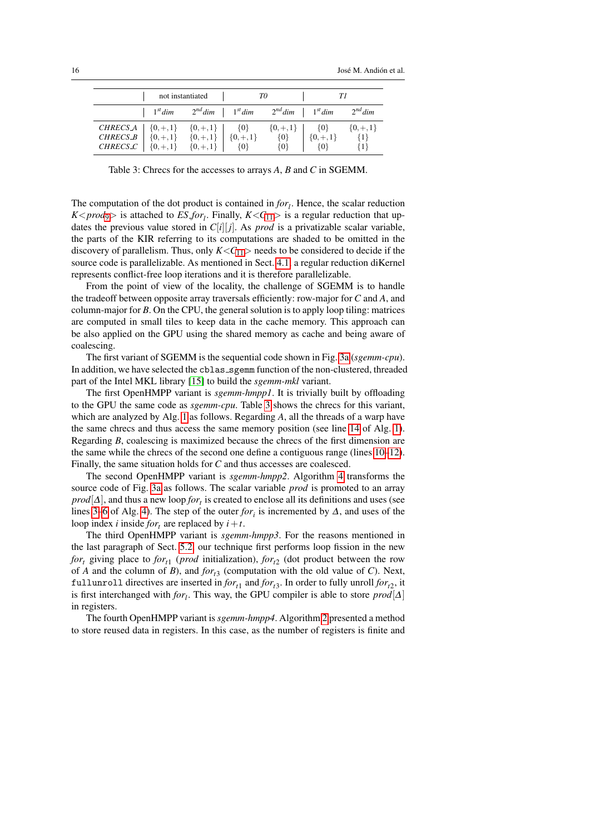<span id="page-15-0"></span>

|                                                                                                                                                                                                                                                                                                | not instantiated | TO - |                                                                                   |                        |
|------------------------------------------------------------------------------------------------------------------------------------------------------------------------------------------------------------------------------------------------------------------------------------------------|------------------|------|-----------------------------------------------------------------------------------|------------------------|
|                                                                                                                                                                                                                                                                                                |                  |      | $1^{st}$ dim $2^{nd}$ dim   $1^{st}$ dim $2^{nd}$ dim   $1^{st}$ dim $2^{nd}$ dim |                        |
| <i>CHRECS</i> $A \mid \{0,+,1\} \mid \{0,+,1\} \mid \{0\}$<br><b>CHRECS B</b> $\begin{bmatrix} \{0,+,1\} & \{0,+,1\} \end{bmatrix}$ $\begin{bmatrix} \{0,+,1\} & \{0\} \end{bmatrix}$ $\begin{bmatrix} \{0,+,1\} & \{1\} \end{bmatrix}$<br><i>CHRECS_C</i>   $\{0,+,1\}$ $\{0,+,1\}$   $\{0\}$ |                  |      | $\{0,+,1\}$ $\{0\}$<br>$\{0\}$   $\{0\}$                                          | $\{0,+,1\}$<br>$\{1\}$ |

Table 3: Chrecs for the accesses to arrays *A*, *B* and *C* in SGEMM.

The computation of the dot product is contained in *for<sup>l</sup>* . Hence, the scalar reduction  $K$   $\leq$  *prod*<sub>[9](#page-14-8)</sub> $>$  is attached to *ES for*<sub>*l*</sub></sub>. Finally,  $K$   $\lt$  *C*<sub>[11](#page-14-9)</sub> $>$  is a regular reduction that updates the previous value stored in  $C[i][j]$ . As *prod* is a privatizable scalar variable, the parts of the KIR referring to its computations are shaded to be omitted in the discovery of parallelism. Thus, only  $K < C_{11}$  $K < C_{11}$  $K < C_{11}$  needs to be considered to decide if the source code is parallelizable. As mentioned in Sect. [4.1,](#page-4-1) a regular reduction diKernel represents conflict-free loop iterations and it is therefore parallelizable.

From the point of view of the locality, the challenge of SGEMM is to handle the tradeoff between opposite array traversals efficiently: row-major for *C* and *A*, and column-major for *B*. On the CPU, the general solution is to apply loop tiling: matrices are computed in small tiles to keep data in the cache memory. This approach can be also applied on the GPU using the shared memory as cache and being aware of coalescing.

The first variant of SGEMM is the sequential code shown in Fig. [3a](#page-14-2) (*sgemm-cpu*). In addition, we have selected the cblas sgemm function of the non-clustered, threaded part of the Intel MKL library [\[15\]](#page-20-8) to build the *sgemm-mkl* variant.

The first OpenHMPP variant is *sgemm-hmpp1*. It is trivially built by offloading to the GPU the same code as *sgemm-cpu*. Table [3](#page-15-0) shows the chrecs for this variant, which are analyzed by Alg. [1](#page-8-0) as follows. Regarding *A*, all the threads of a warp have the same chrecs and thus access the same memory position (see line [14](#page-8-0) of Alg. [1\)](#page-8-0). Regarding *B*, coalescing is maximized because the chrecs of the first dimension are the same while the chrecs of the second one define a contiguous range (lines [10–12\)](#page-8-0). Finally, the same situation holds for *C* and thus accesses are coalesced.

The second OpenHMPP variant is *sgemm-hmpp2*. Algorithm [4](#page-11-2) transforms the source code of Fig. [3a](#page-14-2) as follows. The scalar variable *prod* is promoted to an array  $prod[\Delta]$ , and thus a new loop *for*<sub>*t*</sub> is created to enclose all its definitions and uses (see lines [3–6](#page-11-2) of Alg. [4\)](#page-11-2). The step of the outer  $for_i$  is incremented by  $\Delta$ , and uses of the loop index *i* inside *for*<sub>t</sub> are replaced by  $i + t$ .

The third OpenHMPP variant is *sgemm-hmpp3*. For the reasons mentioned in the last paragraph of Sect. [5.2,](#page-10-1) our technique first performs loop fission in the new *for<sub>t</sub>* giving place to *for<sub>t1</sub>* (*prod* initialization), *for<sub>t2</sub>* (dot product between the row of *A* and the column of *B*), and  $for_{t3}$  (computation with the old value of *C*). Next, fullunroll directives are inserted in  $for_{t1}$  and  $for_{t3}$ . In order to fully unroll  $for_{t2}$ , it is first interchanged with *for*<sub>*l*</sub>. This way, the GPU compiler is able to store  $prod[\Delta]$ in registers.

The fourth OpenHMPP variant is *sgemm-hmpp4*. Algorithm [2](#page-11-0) presented a method to store reused data in registers. In this case, as the number of registers is finite and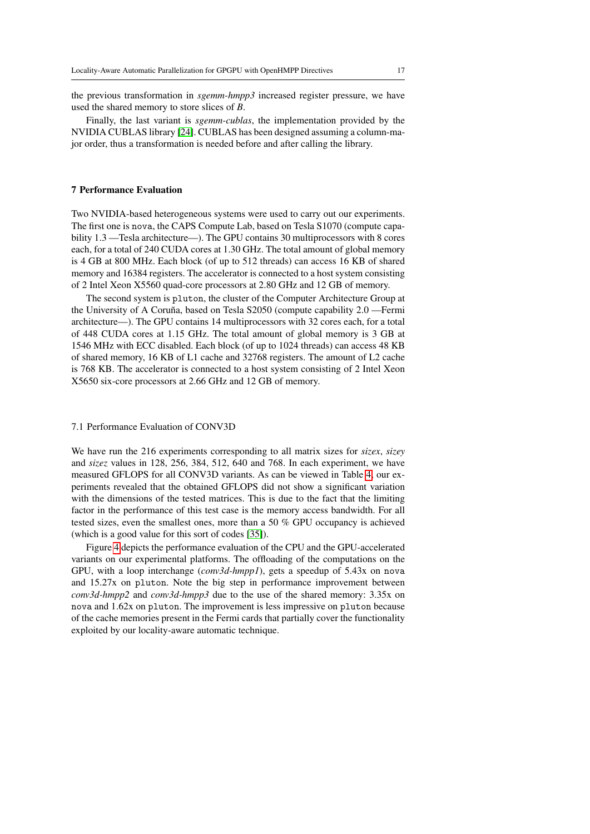the previous transformation in *sgemm-hmpp3* increased register pressure, we have used the shared memory to store slices of *B*.

Finally, the last variant is *sgemm-cublas*, the implementation provided by the NVIDIA CUBLAS library [\[24\]](#page-21-16). CUBLAS has been designed assuming a column-major order, thus a transformation is needed before and after calling the library.

### <span id="page-16-0"></span>7 Performance Evaluation

Two NVIDIA-based heterogeneous systems were used to carry out our experiments. The first one is nova, the CAPS Compute Lab, based on Tesla S1070 (compute capability 1.3 —Tesla architecture—). The GPU contains 30 multiprocessors with 8 cores each, for a total of 240 CUDA cores at 1.30 GHz. The total amount of global memory is 4 GB at 800 MHz. Each block (of up to 512 threads) can access 16 KB of shared memory and 16384 registers. The accelerator is connected to a host system consisting of 2 Intel Xeon X5560 quad-core processors at 2.80 GHz and 12 GB of memory.

The second system is pluton, the cluster of the Computer Architecture Group at the University of A Coruña, based on Tesla S2050 (compute capability 2.0 —Fermi architecture—). The GPU contains 14 multiprocessors with 32 cores each, for a total of 448 CUDA cores at 1.15 GHz. The total amount of global memory is 3 GB at 1546 MHz with ECC disabled. Each block (of up to 1024 threads) can access 48 KB of shared memory, 16 KB of L1 cache and 32768 registers. The amount of L2 cache is 768 KB. The accelerator is connected to a host system consisting of 2 Intel Xeon X5650 six-core processors at 2.66 GHz and 12 GB of memory.

#### 7.1 Performance Evaluation of CONV3D

We have run the 216 experiments corresponding to all matrix sizes for *sizex*, *sizey* and *sizez* values in 128, 256, 384, 512, 640 and 768. In each experiment, we have measured GFLOPS for all CONV3D variants. As can be viewed in Table [4,](#page-18-0) our experiments revealed that the obtained GFLOPS did not show a significant variation with the dimensions of the tested matrices. This is due to the fact that the limiting factor in the performance of this test case is the memory access bandwidth. For all tested sizes, even the smallest ones, more than a 50 % GPU occupancy is achieved (which is a good value for this sort of codes [\[35\]](#page-21-17)).

Figure [4](#page-18-1) depicts the performance evaluation of the CPU and the GPU-accelerated variants on our experimental platforms. The offloading of the computations on the GPU, with a loop interchange (*conv3d-hmpp1*), gets a speedup of 5.43x on nova and 15.27x on pluton. Note the big step in performance improvement between *conv3d-hmpp2* and *conv3d-hmpp3* due to the use of the shared memory: 3.35x on nova and 1.62x on pluton. The improvement is less impressive on pluton because of the cache memories present in the Fermi cards that partially cover the functionality exploited by our locality-aware automatic technique.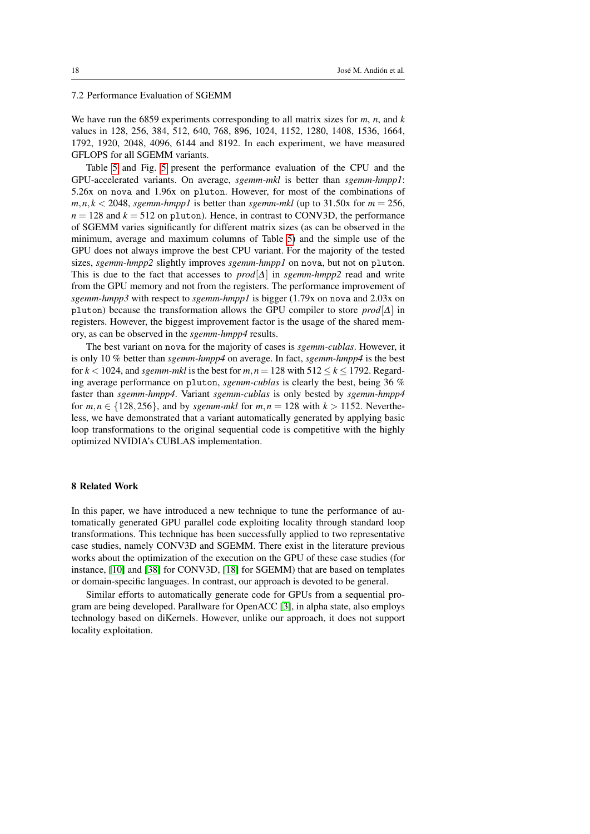## 7.2 Performance Evaluation of SGEMM

We have run the 6859 experiments corresponding to all matrix sizes for *m*, *n*, and *k* values in 128, 256, 384, 512, 640, 768, 896, 1024, 1152, 1280, 1408, 1536, 1664, 1792, 1920, 2048, 4096, 6144 and 8192. In each experiment, we have measured GFLOPS for all SGEMM variants.

Table [5](#page-18-2) and Fig. [5](#page-18-3) present the performance evaluation of the CPU and the GPU-accelerated variants. On average, *sgemm-mkl* is better than *sgemm-hmpp1*: 5.26x on nova and 1.96x on pluton. However, for most of the combinations of  $m, n, k < 2048$ , *sgemm-hmpp1* is better than *sgemm-mkl* (up to 31.50x for  $m = 256$ ,  $n = 128$  and  $k = 512$  on pluton). Hence, in contrast to CONV3D, the performance of SGEMM varies significantly for different matrix sizes (as can be observed in the minimum, average and maximum columns of Table [5\)](#page-18-2) and the simple use of the GPU does not always improve the best CPU variant. For the majority of the tested sizes, *sgemm-hmpp2* slightly improves *sgemm-hmpp1* on nova, but not on pluton. This is due to the fact that accesses to  $prod[\Delta]$  in *sgemm-hmpp2* read and write from the GPU memory and not from the registers. The performance improvement of *sgemm-hmpp3* with respect to *sgemm-hmpp1* is bigger (1.79x on nova and 2.03x on pluton) because the transformation allows the GPU compiler to store *prod*[∆] in registers. However, the biggest improvement factor is the usage of the shared memory, as can be observed in the *sgemm-hmpp4* results.

The best variant on nova for the majority of cases is *sgemm-cublas*. However, it is only 10 % better than *sgemm-hmpp4* on average. In fact, *sgemm-hmpp4* is the best for  $k < 1024$ , and *sgemm-mkl* is the best for  $m, n = 128$  with  $512 \le k \le 1792$ . Regarding average performance on pluton, *sgemm-cublas* is clearly the best, being 36 % faster than *sgemm-hmpp4*. Variant *sgemm-cublas* is only bested by *sgemm-hmpp4* for  $m, n \in \{128, 256\}$ , and by *sgemm-mkl* for  $m, n = 128$  with  $k > 1152$ . Nevertheless, we have demonstrated that a variant automatically generated by applying basic loop transformations to the original sequential code is competitive with the highly optimized NVIDIA's CUBLAS implementation.

### <span id="page-17-0"></span>8 Related Work

In this paper, we have introduced a new technique to tune the performance of automatically generated GPU parallel code exploiting locality through standard loop transformations. This technique has been successfully applied to two representative case studies, namely CONV3D and SGEMM. There exist in the literature previous works about the optimization of the execution on the GPU of these case studies (for instance, [\[10\]](#page-20-9) and [\[38\]](#page-21-18) for CONV3D, [\[18\]](#page-21-19) for SGEMM) that are based on templates or domain-specific languages. In contrast, our approach is devoted to be general.

Similar efforts to automatically generate code for GPUs from a sequential program are being developed. Parallware for OpenACC [\[3\]](#page-20-10), in alpha state, also employs technology based on diKernels. However, unlike our approach, it does not support locality exploitation.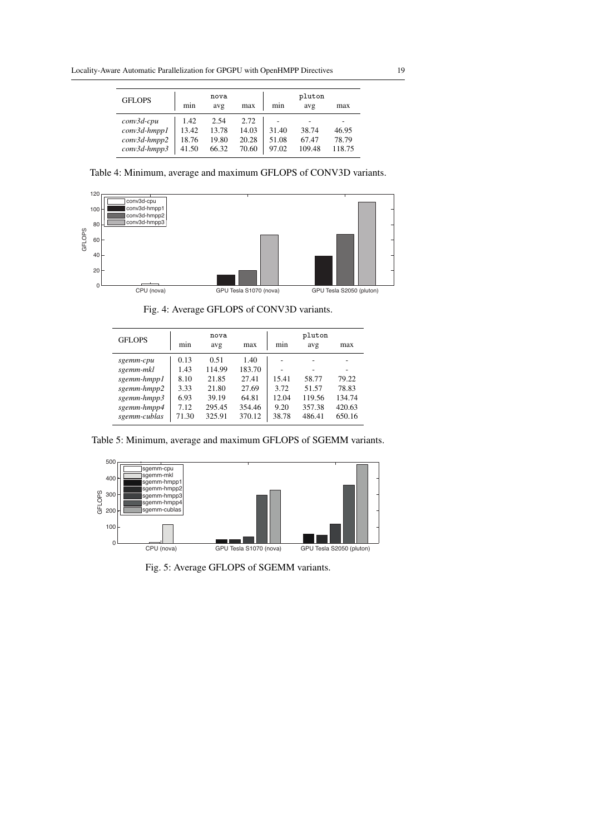<span id="page-18-0"></span>

| <b>GFLOPS</b>  | min   | nova<br>avg | max   | min   | pluton<br>avg | max    |
|----------------|-------|-------------|-------|-------|---------------|--------|
| conv3d-cpu     | 1.42  | 2.54        | 2.72  |       |               |        |
| $conv3d-hmpp1$ | 13.42 | 13.78       | 14.03 | 31.40 | 38.74         | 46.95  |
| $conv3d-hmpp2$ | 18.76 | 19.80       | 20.28 | 51.08 | 67.47         | 78.79  |
| $conv3d-hmpp3$ | 41.50 | 66.32       | 70.60 | 97.02 | 109.48        | 118.75 |

Table 4: Minimum, average and maximum GFLOPS of CONV3D variants.

<span id="page-18-1"></span>

Fig. 4: Average GFLOPS of CONV3D variants.

<span id="page-18-2"></span>

| <b>GFLOPS</b> |       | nova   |        |       | pluton |        |
|---------------|-------|--------|--------|-------|--------|--------|
|               | mnn   | avg    | max    | min   | avg    | max    |
| sgemm-cpu     | 0.13  | 0.51   | 1.40   |       |        |        |
| sgemm-mkl     | 1.43  | 114.99 | 183.70 |       | -      |        |
| sgemm-hmpp1   | 8.10  | 21.85  | 27.41  | 15.41 | 58.77  | 79.22  |
| sgemm-hmpp2   | 3.33  | 21.80  | 27.69  | 3.72  | 51.57  | 78.83  |
| sgemm-hmpp3   | 6.93  | 39.19  | 64.81  | 12.04 | 119.56 | 134.74 |
| sgemm-hmpp4   | 7.12  | 295.45 | 354.46 | 9.20  | 357.38 | 420.63 |
| sgemm-cublas  | 71.30 | 325.91 | 370.12 | 38.78 | 486.41 | 650.16 |

Table 5: Minimum, average and maximum GFLOPS of SGEMM variants.

<span id="page-18-3"></span>

Fig. 5: Average GFLOPS of SGEMM variants.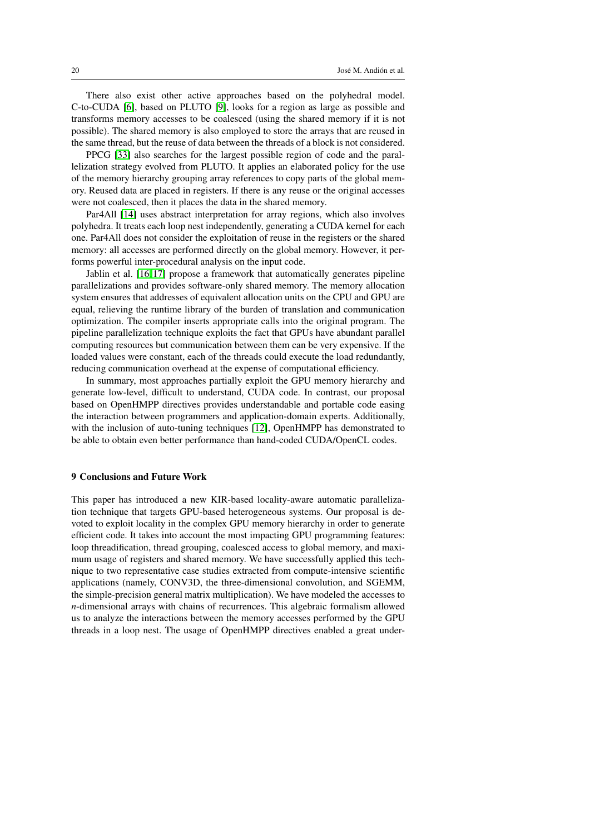There also exist other active approaches based on the polyhedral model. C-to-CUDA [\[6\]](#page-20-11), based on PLUTO [\[9\]](#page-20-12), looks for a region as large as possible and transforms memory accesses to be coalesced (using the shared memory if it is not possible). The shared memory is also employed to store the arrays that are reused in the same thread, but the reuse of data between the threads of a block is not considered.

PPCG [\[33\]](#page-21-20) also searches for the largest possible region of code and the parallelization strategy evolved from PLUTO. It applies an elaborated policy for the use of the memory hierarchy grouping array references to copy parts of the global memory. Reused data are placed in registers. If there is any reuse or the original accesses were not coalesced, then it places the data in the shared memory.

Par4All [\[14\]](#page-20-13) uses abstract interpretation for array regions, which also involves polyhedra. It treats each loop nest independently, generating a CUDA kernel for each one. Par4All does not consider the exploitation of reuse in the registers or the shared memory: all accesses are performed directly on the global memory. However, it performs powerful inter-procedural analysis on the input code.

Jablin et al. [\[16,](#page-21-21) [17\]](#page-21-22) propose a framework that automatically generates pipeline parallelizations and provides software-only shared memory. The memory allocation system ensures that addresses of equivalent allocation units on the CPU and GPU are equal, relieving the runtime library of the burden of translation and communication optimization. The compiler inserts appropriate calls into the original program. The pipeline parallelization technique exploits the fact that GPUs have abundant parallel computing resources but communication between them can be very expensive. If the loaded values were constant, each of the threads could execute the load redundantly, reducing communication overhead at the expense of computational efficiency.

In summary, most approaches partially exploit the GPU memory hierarchy and generate low-level, difficult to understand, CUDA code. In contrast, our proposal based on OpenHMPP directives provides understandable and portable code easing the interaction between programmers and application-domain experts. Additionally, with the inclusion of auto-tuning techniques [\[12\]](#page-20-14), OpenHMPP has demonstrated to be able to obtain even better performance than hand-coded CUDA/OpenCL codes.

### <span id="page-19-0"></span>9 Conclusions and Future Work

This paper has introduced a new KIR-based locality-aware automatic parallelization technique that targets GPU-based heterogeneous systems. Our proposal is devoted to exploit locality in the complex GPU memory hierarchy in order to generate efficient code. It takes into account the most impacting GPU programming features: loop threadification, thread grouping, coalesced access to global memory, and maximum usage of registers and shared memory. We have successfully applied this technique to two representative case studies extracted from compute-intensive scientific applications (namely, CONV3D, the three-dimensional convolution, and SGEMM, the simple-precision general matrix multiplication). We have modeled the accesses to *n*-dimensional arrays with chains of recurrences. This algebraic formalism allowed us to analyze the interactions between the memory accesses performed by the GPU threads in a loop nest. The usage of OpenHMPP directives enabled a great under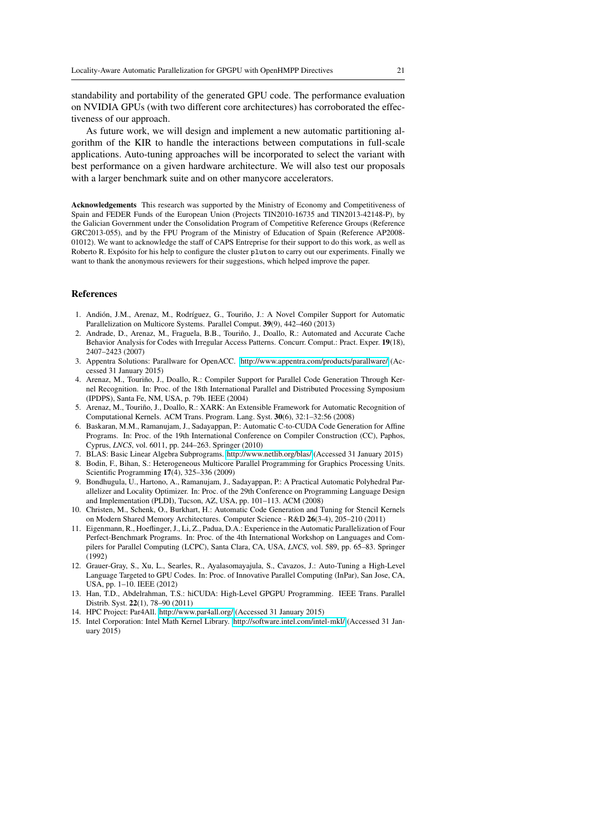standability and portability of the generated GPU code. The performance evaluation on NVIDIA GPUs (with two different core architectures) has corroborated the effectiveness of our approach.

As future work, we will design and implement a new automatic partitioning algorithm of the KIR to handle the interactions between computations in full-scale applications. Auto-tuning approaches will be incorporated to select the variant with best performance on a given hardware architecture. We will also test our proposals with a larger benchmark suite and on other manycore accelerators.

Acknowledgements This research was supported by the Ministry of Economy and Competitiveness of Spain and FEDER Funds of the European Union (Projects TIN2010-16735 and TIN2013-42148-P), by the Galician Government under the Consolidation Program of Competitive Reference Groups (Reference GRC2013-055), and by the FPU Program of the Ministry of Education of Spain (Reference AP2008- 01012). We want to acknowledge the staff of CAPS Entreprise for their support to do this work, as well as Roberto R. Expósito for his help to configure the cluster pluton to carry out our experiments. Finally we want to thank the anonymous reviewers for their suggestions, which helped improve the paper.

#### References

- <span id="page-20-1"></span>1. Andión, J.M., Arenaz, M., Rodríguez, G., Touriño, J.: A Novel Compiler Support for Automatic Parallelization on Multicore Systems. Parallel Comput. 39(9), 442–460 (2013)
- <span id="page-20-4"></span>2. Andrade, D., Arenaz, M., Fraguela, B.B., Touriño, J., Doallo, R.: Automated and Accurate Cache Behavior Analysis for Codes with Irregular Access Patterns. Concurr. Comput.: Pract. Exper. 19(18), 2407–2423 (2007)
- <span id="page-20-10"></span>3. Appentra Solutions: Parallware for OpenACC.<http://www.appentra.com/products/parallware/> (Accessed 31 January 2015)
- <span id="page-20-6"></span>4. Arenaz, M., Touriño, J., Doallo, R.: Compiler Support for Parallel Code Generation Through Kernel Recognition. In: Proc. of the 18th International Parallel and Distributed Processing Symposium (IPDPS), Santa Fe, NM, USA, p. 79b. IEEE (2004)
- <span id="page-20-3"></span>5. Arenaz, M., Touriño, J., Doallo, R.: XARK: An Extensible Framework for Automatic Recognition of Computational Kernels. ACM Trans. Program. Lang. Syst. 30(6), 32:1–32:56 (2008)
- <span id="page-20-11"></span>6. Baskaran, M.M., Ramanujam, J., Sadayappan, P.: Automatic C-to-CUDA Code Generation for Affine Programs. In: Proc. of the 19th International Conference on Compiler Construction (CC), Paphos, Cyprus, *LNCS*, vol. 6011, pp. 244–263. Springer (2010)
- <span id="page-20-7"></span>7. BLAS: Basic Linear Algebra Subprograms.<http://www.netlib.org/blas/> (Accessed 31 January 2015)
- <span id="page-20-2"></span>8. Bodin, F., Bihan, S.: Heterogeneous Multicore Parallel Programming for Graphics Processing Units. Scientific Programming 17(4), 325–336 (2009)
- <span id="page-20-12"></span>9. Bondhugula, U., Hartono, A., Ramanujam, J., Sadayappan, P.: A Practical Automatic Polyhedral Parallelizer and Locality Optimizer. In: Proc. of the 29th Conference on Programming Language Design and Implementation (PLDI), Tucson, AZ, USA, pp. 101–113. ACM (2008)
- <span id="page-20-9"></span>10. Christen, M., Schenk, O., Burkhart, H.: Automatic Code Generation and Tuning for Stencil Kernels on Modern Shared Memory Architectures. Computer Science - R&D 26(3-4), 205–210 (2011)
- <span id="page-20-5"></span>11. Eigenmann, R., Hoeflinger, J., Li, Z., Padua, D.A.: Experience in the Automatic Parallelization of Four Perfect-Benchmark Programs. In: Proc. of the 4th International Workshop on Languages and Compilers for Parallel Computing (LCPC), Santa Clara, CA, USA, *LNCS*, vol. 589, pp. 65–83. Springer (1992)
- <span id="page-20-14"></span>12. Grauer-Gray, S., Xu, L., Searles, R., Ayalasomayajula, S., Cavazos, J.: Auto-Tuning a High-Level Language Targeted to GPU Codes. In: Proc. of Innovative Parallel Computing (InPar), San Jose, CA, USA, pp. 1–10. IEEE (2012)
- <span id="page-20-0"></span>13. Han, T.D., Abdelrahman, T.S.: hiCUDA: High-Level GPGPU Programming. IEEE Trans. Parallel Distrib. Syst. 22(1), 78–90 (2011)
- <span id="page-20-13"></span>14. HPC Project: Par4All.<http://www.par4all.org/> (Accessed 31 January 2015)
- <span id="page-20-8"></span>15. Intel Corporation: Intel Math Kernel Library.<http://software.intel.com/intel-mkl/> (Accessed 31 January 2015)